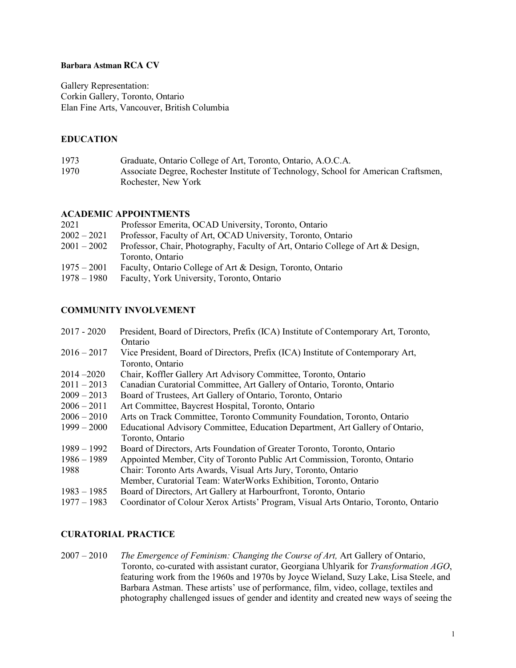#### **Barbara Astman RCA CV**

Gallery Representation: Corkin Gallery, Toronto, Ontario Elan Fine Arts, Vancouver, British Columbia

### **EDUCATION**

| 1973 | Graduate, Ontario College of Art, Toronto, Ontario, A.O.C.A.                        |
|------|-------------------------------------------------------------------------------------|
| 1970 | Associate Degree, Rochester Institute of Technology, School for American Craftsmen, |
|      | Rochester, New York                                                                 |

### **ACADEMIC APPOINTMENTS**

| 2021          | Professor Emerita, OCAD University, Toronto, Ontario                            |
|---------------|---------------------------------------------------------------------------------|
| $2002 - 2021$ | Professor, Faculty of Art, OCAD University, Toronto, Ontario                    |
| $2001 - 2002$ | Professor, Chair, Photography, Faculty of Art, Ontario College of Art & Design, |
|               | Toronto, Ontario                                                                |
| $1975 - 2001$ | Faculty, Ontario College of Art & Design, Toronto, Ontario                      |
| $1978 - 1980$ | Faculty, York University, Toronto, Ontario                                      |

#### **COMMUNITY INVOLVEMENT**

| $2017 - 2020$ | President, Board of Directors, Prefix (ICA) Institute of Contemporary Art, Toronto, |
|---------------|-------------------------------------------------------------------------------------|
|               | Ontario                                                                             |
| $2016 - 2017$ | Vice President, Board of Directors, Prefix (ICA) Institute of Contemporary Art,     |
|               | Toronto, Ontario                                                                    |
| $2014 - 2020$ | Chair, Koffler Gallery Art Advisory Committee, Toronto, Ontario                     |
| $2011 - 2013$ | Canadian Curatorial Committee, Art Gallery of Ontario, Toronto, Ontario             |
| $2009 - 2013$ | Board of Trustees, Art Gallery of Ontario, Toronto, Ontario                         |
| $2006 - 2011$ | Art Committee, Baycrest Hospital, Toronto, Ontario                                  |
| $2006 - 2010$ | Arts on Track Committee, Toronto Community Foundation, Toronto, Ontario             |
| $1999 - 2000$ | Educational Advisory Committee, Education Department, Art Gallery of Ontario,       |
|               | Toronto, Ontario                                                                    |
| $1989 - 1992$ | Board of Directors, Arts Foundation of Greater Toronto, Toronto, Ontario            |
| $1986 - 1989$ | Appointed Member, City of Toronto Public Art Commission, Toronto, Ontario           |
| 1988          | Chair: Toronto Arts Awards, Visual Arts Jury, Toronto, Ontario                      |
|               | Member, Curatorial Team: WaterWorks Exhibition, Toronto, Ontario                    |
| $1983 - 1985$ | Board of Directors, Art Gallery at Harbourfront, Toronto, Ontario                   |
| $1977 - 1983$ | Coordinator of Colour Xerox Artists' Program, Visual Arts Ontario, Toronto, Ontario |
|               |                                                                                     |

## **CURATORIAL PRACTICE**

2007 – 2010 *The Emergence of Feminism: Changing the Course of Art,* Art Gallery of Ontario, Toronto, co-curated with assistant curator, Georgiana Uhlyarik for *Transformation AGO*, featuring work from the 1960s and 1970s by Joyce Wieland, Suzy Lake, Lisa Steele, and Barbara Astman. These artists' use of performance, film, video, collage, textiles and photography challenged issues of gender and identity and created new ways of seeing the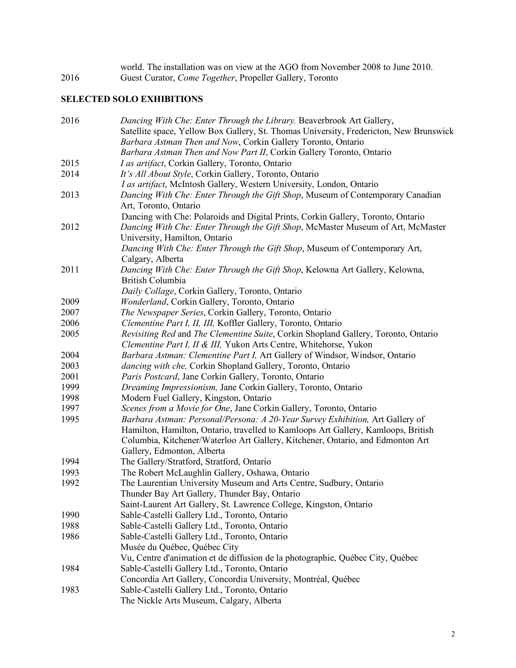world. The installation was on view at the AGO from November 2008 to June 2010. 2016 Guest Curator, *Come Together*, Propeller Gallery, Toronto

# **SELECTED SOLO EXHIBITIONS**

| 2016 | Dancing With Che: Enter Through the Library, Beaverbrook Art Gallery,                  |
|------|----------------------------------------------------------------------------------------|
|      | Satellite space, Yellow Box Gallery, St. Thomas University, Fredericton, New Brunswick |
|      | Barbara Astman Then and Now, Corkin Gallery Toronto, Ontario                           |
|      | Barbara Astman Then and Now Part II, Corkin Gallery Toronto, Ontario                   |
| 2015 | I as artifact, Corkin Gallery, Toronto, Ontario                                        |
| 2014 | It's All About Style, Corkin Gallery, Toronto, Ontario                                 |
|      | I as artifact, McIntosh Gallery, Western University, London, Ontario                   |
| 2013 | Dancing With Che: Enter Through the Gift Shop, Museum of Contemporary Canadian         |
|      | Art, Toronto, Ontario                                                                  |
|      | Dancing with Che: Polaroids and Digital Prints, Corkin Gallery, Toronto, Ontario       |
| 2012 | Dancing With Che: Enter Through the Gift Shop, McMaster Museum of Art, McMaster        |
|      | University, Hamilton, Ontario                                                          |
|      | Dancing With Che: Enter Through the Gift Shop, Museum of Contemporary Art,             |
|      | Calgary, Alberta                                                                       |
| 2011 | Dancing With Che: Enter Through the Gift Shop, Kelowna Art Gallery, Kelowna,           |
|      | British Columbia                                                                       |
|      | Daily Collage, Corkin Gallery, Toronto, Ontario                                        |
| 2009 | Wonderland, Corkin Gallery, Toronto, Ontario                                           |
| 2007 | The Newspaper Series, Corkin Gallery, Toronto, Ontario                                 |
| 2006 | Clementine Part I, II, III, Koffler Gallery, Toronto, Ontario                          |
| 2005 | Revisiting Red and The Clementine Suite, Corkin Shopland Gallery, Toronto, Ontario     |
|      | Clementine Part I, II & III, Yukon Arts Centre, Whitehorse, Yukon                      |
| 2004 | Barbara Astman: Clementine Part I, Art Gallery of Windsor, Windsor, Ontario            |
| 2003 | dancing with che, Corkin Shopland Gallery, Toronto, Ontario                            |
| 2001 | Paris Postcard, Jane Corkin Gallery, Toronto, Ontario                                  |
| 1999 | Dreaming Impressionism, Jane Corkin Gallery, Toronto, Ontario                          |
| 1998 | Modern Fuel Gallery, Kingston, Ontario                                                 |
| 1997 | Scenes from a Movie for One, Jane Corkin Gallery, Toronto, Ontario                     |
| 1995 | Barbara Astman: Personal/Persona: A 20-Year Survey Exhibition, Art Gallery of          |
|      | Hamilton, Hamilton, Ontario, travelled to Kamloops Art Gallery, Kamloops, British      |
|      | Columbia, Kitchener/Waterloo Art Gallery, Kitchener, Ontario, and Edmonton Art         |
|      | Gallery, Edmonton, Alberta                                                             |
| 1994 | The Gallery/Stratford, Stratford, Ontario                                              |
| 1993 | The Robert McLaughlin Gallery, Oshawa, Ontario                                         |
| 1992 | The Laurentian University Museum and Arts Centre, Sudbury, Ontario                     |
|      | Thunder Bay Art Gallery, Thunder Bay, Ontario                                          |
|      | Saint-Laurent Art Gallery, St. Lawrence College, Kingston, Ontario                     |
| 1990 | Sable-Castelli Gallery Ltd., Toronto, Ontario                                          |
| 1988 | Sable-Castelli Gallery Ltd., Toronto, Ontario                                          |
| 1986 | Sable-Castelli Gallery Ltd., Toronto, Ontario                                          |
|      | Musée du Québec, Québec City                                                           |
|      | Vu, Centre d'animation et de diffusion de la photographie, Québec City, Québec         |
| 1984 | Sable-Castelli Gallery Ltd., Toronto, Ontario                                          |
|      | Concordia Art Gallery, Concordia University, Montréal, Québec                          |
| 1983 | Sable-Castelli Gallery Ltd., Toronto, Ontario                                          |
|      |                                                                                        |
|      | The Nickle Arts Museum, Calgary, Alberta                                               |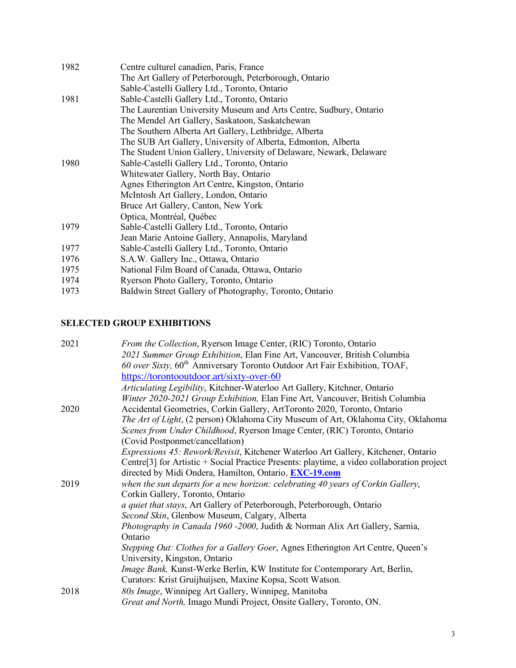| 1982 | Centre culturel canadien, Paris, France                             |
|------|---------------------------------------------------------------------|
|      | The Art Gallery of Peterborough, Peterborough, Ontario              |
|      | Sable-Castelli Gallery Ltd., Toronto, Ontario                       |
| 1981 | Sable-Castelli Gallery Ltd., Toronto, Ontario                       |
|      | The Laurentian University Museum and Arts Centre, Sudbury, Ontario  |
|      | The Mendel Art Gallery, Saskatoon, Saskatchewan                     |
|      | The Southern Alberta Art Gallery, Lethbridge, Alberta               |
|      | The SUB Art Gallery, University of Alberta, Edmonton, Alberta       |
|      | The Student Union Gallery, University of Delaware, Newark, Delaware |
| 1980 | Sable-Castelli Gallery Ltd., Toronto, Ontario                       |
|      | Whitewater Gallery, North Bay, Ontario                              |
|      | Agnes Etherington Art Centre, Kingston, Ontario                     |
|      | McIntosh Art Gallery, London, Ontario                               |
|      | Bruce Art Gallery, Canton, New York                                 |
|      | Optica, Montréal, Québec                                            |
| 1979 | Sable-Castelli Gallery Ltd., Toronto, Ontario                       |
|      | Jean Marie Antoine Gallery, Annapolis, Maryland                     |
| 1977 | Sable-Castelli Gallery Ltd., Toronto, Ontario                       |
| 1976 | S.A.W. Gallery Inc., Ottawa, Ontario                                |
| 1975 | National Film Board of Canada, Ottawa, Ontario                      |
| 1974 | Ryerson Photo Gallery, Toronto, Ontario                             |
| 1973 | Baldwin Street Gallery of Photography, Toronto, Ontario             |

# **SELECTED GROUP EXHIBITIONS**

| 2021 | From the Collection, Ryerson Image Center, (RIC) Toronto, Ontario                                      |
|------|--------------------------------------------------------------------------------------------------------|
|      | 2021 Summer Group Exhibition, Elan Fine Art, Vancouver, British Columbia                               |
|      | 60 over Sixty, 60 <sup>th</sup> Anniversary Toronto Outdoor Art Fair Exhibition, TOAF,                 |
|      | https://torontooutdoor.art/sixty-over-60                                                               |
|      | Articulating Legibility, Kitchner-Waterloo Art Gallery, Kitchner, Ontario                              |
|      | Winter 2020-2021 Group Exhibition, Elan Fine Art, Vancouver, British Columbia                          |
| 2020 | Accidental Geometries, Corkin Gallery, ArtToronto 2020, Toronto, Ontario                               |
|      | The Art of Light, (2 person) Oklahoma City Museum of Art, Oklahoma City, Oklahoma                      |
|      | Scenes from Under Childhood, Ryerson Image Center, (RIC) Toronto, Ontario                              |
|      | (Covid Postponmet/cancellation)                                                                        |
|      | Expressions 45: Rework/Revisit, Kitchener Waterloo Art Gallery, Kitchener, Ontario                     |
|      | Centre <sup>[3]</sup> for Artistic + Social Practice Presents: playtime, a video collaboration project |
|      | directed by Midi Ondera, Hamilton, Ontario, <b>EXC-19.com</b>                                          |
| 2019 | when the sun departs for a new horizon: celebrating 40 years of Corkin Gallery,                        |
|      | Corkin Gallery, Toronto, Ontario                                                                       |
|      | a quiet that stays, Art Gallery of Peterborough, Peterborough, Ontario                                 |
|      | Second Skin, Glenbow Museum, Calgary, Alberta                                                          |
|      | Photography in Canada 1960 -2000, Judith & Norman Alix Art Gallery, Sarnia,                            |
|      | Ontario                                                                                                |
|      | Stepping Out: Clothes for a Gallery Goer, Agnes Etherington Art Centre, Queen's                        |
|      | University, Kingston, Ontario                                                                          |
|      | Image Bank, Kunst-Werke Berlin, KW Institute for Contemporary Art, Berlin,                             |
|      | Curators: Krist Gruijhuijsen, Maxine Kopsa, Scott Watson.                                              |
| 2018 | 80s Image, Winnipeg Art Gallery, Winnipeg, Manitoba                                                    |
|      | Great and North, Imago Mundi Project, Onsite Gallery, Toronto, ON.                                     |
|      |                                                                                                        |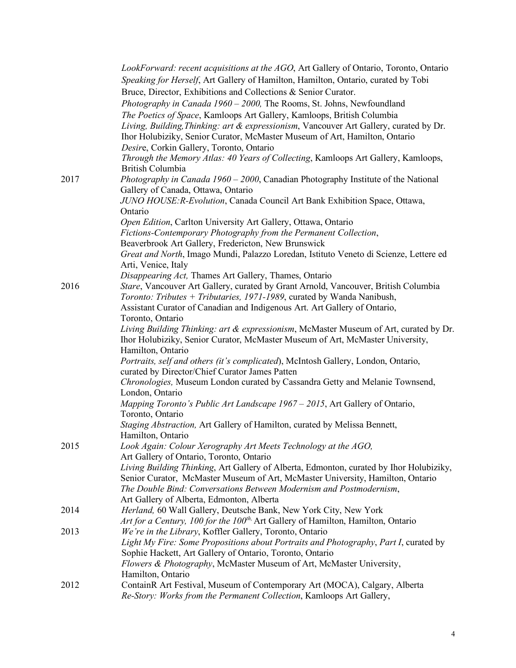|      | LookForward: recent acquisitions at the AGO, Art Gallery of Ontario, Toronto, Ontario                                           |
|------|---------------------------------------------------------------------------------------------------------------------------------|
|      | Speaking for Herself, Art Gallery of Hamilton, Hamilton, Ontario, curated by Tobi                                               |
|      | Bruce, Director, Exhibitions and Collections & Senior Curator.                                                                  |
|      | Photography in Canada 1960 - 2000, The Rooms, St. Johns, Newfoundland                                                           |
|      |                                                                                                                                 |
|      | The Poetics of Space, Kamloops Art Gallery, Kamloops, British Columbia                                                          |
|      | Living, Building, Thinking: art & expressionism, Vancouver Art Gallery, curated by Dr.                                          |
|      | Ihor Holubiziky, Senior Curator, McMaster Museum of Art, Hamilton, Ontario                                                      |
|      | Desire, Corkin Gallery, Toronto, Ontario                                                                                        |
|      | Through the Memory Atlas: 40 Years of Collecting, Kamloops Art Gallery, Kamloops,<br><b>British Columbia</b>                    |
| 2017 | <i>Photography in Canada 1960 – 2000</i> , Canadian Photography Institute of the National<br>Gallery of Canada, Ottawa, Ontario |
|      | JUNO HOUSE: R-Evolution, Canada Council Art Bank Exhibition Space, Ottawa,                                                      |
|      | Ontario                                                                                                                         |
|      | Open Edition, Carlton University Art Gallery, Ottawa, Ontario                                                                   |
|      | Fictions-Contemporary Photography from the Permanent Collection,                                                                |
|      | Beaverbrook Art Gallery, Fredericton, New Brunswick                                                                             |
|      | Great and North, Imago Mundi, Palazzo Loredan, Istituto Veneto di Scienze, Lettere ed                                           |
|      | Arti, Venice, Italy                                                                                                             |
|      | Disappearing Act, Thames Art Gallery, Thames, Ontario                                                                           |
| 2016 | Stare, Vancouver Art Gallery, curated by Grant Arnold, Vancouver, British Columbia                                              |
|      | Toronto: Tributes + Tributaries, 1971-1989, curated by Wanda Nanibush,                                                          |
|      | Assistant Curator of Canadian and Indigenous Art. Art Gallery of Ontario,                                                       |
|      | Toronto, Ontario                                                                                                                |
|      | Living Building Thinking: art & expressionism, McMaster Museum of Art, curated by Dr.                                           |
|      | Ihor Holubiziky, Senior Curator, McMaster Museum of Art, McMaster University,                                                   |
|      | Hamilton, Ontario                                                                                                               |
|      | Portraits, self and others (it's complicated), McIntosh Gallery, London, Ontario,                                               |
|      | curated by Director/Chief Curator James Patten                                                                                  |
|      | Chronologies, Museum London curated by Cassandra Getty and Melanie Townsend,                                                    |
|      | London, Ontario                                                                                                                 |
|      | Mapping Toronto's Public Art Landscape 1967 – 2015, Art Gallery of Ontario,                                                     |
|      | Toronto, Ontario                                                                                                                |
|      | Staging Abstraction, Art Gallery of Hamilton, curated by Melissa Bennett,                                                       |
|      | Hamilton, Ontario                                                                                                               |
| 2015 | Look Again: Colour Xerography Art Meets Technology at the AGO,                                                                  |
|      | Art Gallery of Ontario, Toronto, Ontario                                                                                        |
|      | Living Building Thinking, Art Gallery of Alberta, Edmonton, curated by Ihor Holubiziky,                                         |
|      | Senior Curator, McMaster Museum of Art, McMaster University, Hamilton, Ontario                                                  |
|      | The Double Bind: Conversations Between Modernism and Postmodernism,                                                             |
|      | Art Gallery of Alberta, Edmonton, Alberta                                                                                       |
| 2014 | Herland, 60 Wall Gallery, Deutsche Bank, New York City, New York                                                                |
|      | Art for a Century, 100 for the 100 <sup>th,</sup> Art Gallery of Hamilton, Hamilton, Ontario                                    |
| 2013 | We're in the Library, Koffler Gallery, Toronto, Ontario                                                                         |
|      | Light My Fire: Some Propositions about Portraits and Photography, Part I, curated by                                            |
|      | Sophie Hackett, Art Gallery of Ontario, Toronto, Ontario                                                                        |
|      | Flowers & Photography, McMaster Museum of Art, McMaster University,                                                             |
|      | Hamilton, Ontario                                                                                                               |
| 2012 | ContainR Art Festival, Museum of Contemporary Art (MOCA), Calgary, Alberta                                                      |
|      | Re-Story: Works from the Permanent Collection, Kamloops Art Gallery,                                                            |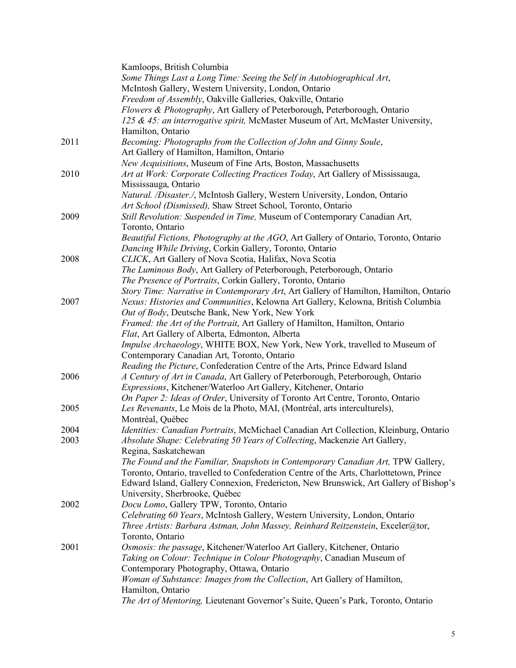|      | Kamloops, British Columbia                                                             |
|------|----------------------------------------------------------------------------------------|
|      | Some Things Last a Long Time: Seeing the Self in Autobiographical Art,                 |
|      | McIntosh Gallery, Western University, London, Ontario                                  |
|      | Freedom of Assembly, Oakville Galleries, Oakville, Ontario                             |
|      | Flowers & Photography, Art Gallery of Peterborough, Peterborough, Ontario              |
|      | 125 & 45: an interrogative spirit, McMaster Museum of Art, McMaster University,        |
|      | Hamilton, Ontario                                                                      |
| 2011 | Becoming: Photographs from the Collection of John and Ginny Soule,                     |
|      | Art Gallery of Hamilton, Hamilton, Ontario                                             |
|      |                                                                                        |
|      | New Acquisitions, Museum of Fine Arts, Boston, Massachusetts                           |
| 2010 | Art at Work: Corporate Collecting Practices Today, Art Gallery of Mississauga,         |
|      | Mississauga, Ontario                                                                   |
|      | Natural. /Disaster./, McIntosh Gallery, Western University, London, Ontario            |
|      | Art School (Dismissed), Shaw Street School, Toronto, Ontario                           |
| 2009 | Still Revolution: Suspended in Time, Museum of Contemporary Canadian Art,              |
|      | Toronto, Ontario                                                                       |
|      | Beautiful Fictions, Photography at the AGO, Art Gallery of Ontario, Toronto, Ontario   |
|      | Dancing While Driving, Corkin Gallery, Toronto, Ontario                                |
| 2008 | CLICK, Art Gallery of Nova Scotia, Halifax, Nova Scotia                                |
|      | The Luminous Body, Art Gallery of Peterborough, Peterborough, Ontario                  |
|      | The Presence of Portraits, Corkin Gallery, Toronto, Ontario                            |
|      | Story Time: Narrative in Contemporary Art, Art Gallery of Hamilton, Hamilton, Ontario  |
| 2007 | Nexus: Histories and Communities, Kelowna Art Gallery, Kelowna, British Columbia       |
|      | Out of Body, Deutsche Bank, New York, New York                                         |
|      | Framed: the Art of the Portrait, Art Gallery of Hamilton, Hamilton, Ontario            |
|      | Flat, Art Gallery of Alberta, Edmonton, Alberta                                        |
|      | Impulse Archaeology, WHITE BOX, New York, New York, travelled to Museum of             |
|      | Contemporary Canadian Art, Toronto, Ontario                                            |
|      | Reading the Picture, Confederation Centre of the Arts, Prince Edward Island            |
| 2006 | A Century of Art in Canada, Art Gallery of Peterborough, Peterborough, Ontario         |
|      | Expressions, Kitchener/Waterloo Art Gallery, Kitchener, Ontario                        |
|      | On Paper 2: Ideas of Order, University of Toronto Art Centre, Toronto, Ontario         |
| 2005 | Les Revenants, Le Mois de la Photo, MAI, (Montréal, arts interculturels),              |
|      | Montréal, Québec                                                                       |
| 2004 | Identities: Canadian Portraits, McMichael Canadian Art Collection, Kleinburg, Ontario  |
| 2003 |                                                                                        |
|      | Absolute Shape: Celebrating 50 Years of Collecting, Mackenzie Art Gallery,             |
|      | Regina, Saskatchewan                                                                   |
|      | The Found and the Familiar, Snapshots in Contemporary Canadian Art, TPW Gallery,       |
|      | Toronto, Ontario, travelled to Confederation Centre of the Arts, Charlottetown, Prince |
|      | Edward Island, Gallery Connexion, Fredericton, New Brunswick, Art Gallery of Bishop's  |
|      | University, Sherbrooke, Québec                                                         |
| 2002 | Docu Lomo, Gallery TPW, Toronto, Ontario                                               |
|      | Celebrating 60 Years, McIntosh Gallery, Western University, London, Ontario            |
|      | Three Artists: Barbara Astman, John Massey, Reinhard Reitzenstein, Exceler@tor,        |
|      | Toronto, Ontario                                                                       |
| 2001 | Osmosis: the passage, Kitchener/Waterloo Art Gallery, Kitchener, Ontario               |
|      | Taking on Colour: Technique in Colour Photography, Canadian Museum of                  |
|      | Contemporary Photography, Ottawa, Ontario                                              |
|      | Woman of Substance: Images from the Collection, Art Gallery of Hamilton,               |
|      | Hamilton, Ontario                                                                      |
|      | The Art of Mentoring, Lieutenant Governor's Suite, Queen's Park, Toronto, Ontario      |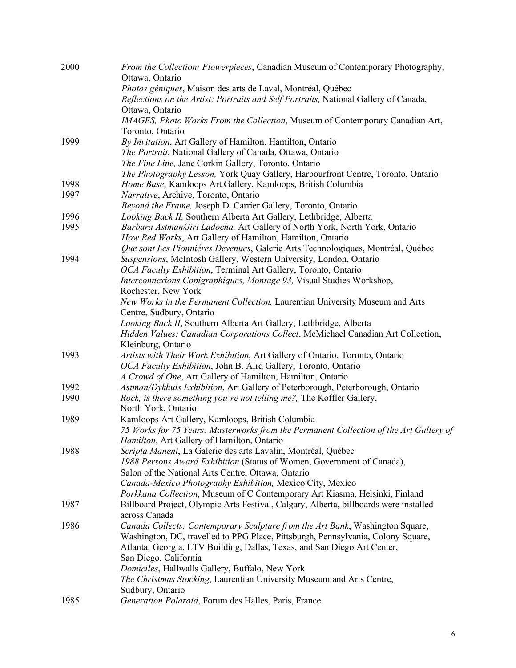| 2000 | From the Collection: Flowerpieces, Canadian Museum of Contemporary Photography,<br>Ottawa, Ontario                                                           |
|------|--------------------------------------------------------------------------------------------------------------------------------------------------------------|
|      | Photos géniques, Maison des arts de Laval, Montréal, Québec                                                                                                  |
|      | Reflections on the Artist: Portraits and Self Portraits, National Gallery of Canada,                                                                         |
|      | Ottawa, Ontario                                                                                                                                              |
|      | IMAGES, Photo Works From the Collection, Museum of Contemporary Canadian Art,                                                                                |
|      | Toronto, Ontario                                                                                                                                             |
| 1999 | By Invitation, Art Gallery of Hamilton, Hamilton, Ontario                                                                                                    |
|      | The Portrait, National Gallery of Canada, Ottawa, Ontario                                                                                                    |
|      | The Fine Line, Jane Corkin Gallery, Toronto, Ontario                                                                                                         |
|      | The Photography Lesson, York Quay Gallery, Harbourfront Centre, Toronto, Ontario                                                                             |
| 1998 | Home Base, Kamloops Art Gallery, Kamloops, British Columbia                                                                                                  |
| 1997 | Narrative, Archive, Toronto, Ontario                                                                                                                         |
|      | Beyond the Frame, Joseph D. Carrier Gallery, Toronto, Ontario                                                                                                |
| 1996 | Looking Back II, Southern Alberta Art Gallery, Lethbridge, Alberta                                                                                           |
| 1995 | Barbara Astman/Jiri Ladocha, Art Gallery of North York, North York, Ontario                                                                                  |
|      | How Red Works, Art Gallery of Hamilton, Hamilton, Ontario                                                                                                    |
|      | Que sont Les Pionniéres Devenues, Galerie Arts Technologiques, Montréal, Québec                                                                              |
| 1994 | Suspensions, McIntosh Gallery, Western University, London, Ontario                                                                                           |
|      | OCA Faculty Exhibition, Terminal Art Gallery, Toronto, Ontario                                                                                               |
|      | Interconnexions Copigraphiques, Montage 93, Visual Studies Workshop,                                                                                         |
|      | Rochester, New York                                                                                                                                          |
|      | New Works in the Permanent Collection, Laurentian University Museum and Arts                                                                                 |
|      | Centre, Sudbury, Ontario                                                                                                                                     |
|      | Looking Back II, Southern Alberta Art Gallery, Lethbridge, Alberta                                                                                           |
|      | Hidden Values: Canadian Corporations Collect, McMichael Canadian Art Collection,                                                                             |
|      | Kleinburg, Ontario                                                                                                                                           |
| 1993 | Artists with Their Work Exhibition, Art Gallery of Ontario, Toronto, Ontario                                                                                 |
|      | OCA Faculty Exhibition, John B. Aird Gallery, Toronto, Ontario                                                                                               |
|      | A Crowd of One, Art Gallery of Hamilton, Hamilton, Ontario                                                                                                   |
| 1992 | Astman/Dykhuis Exhibition, Art Gallery of Peterborough, Peterborough, Ontario                                                                                |
| 1990 | Rock, is there something you're not telling me?, The Koffler Gallery,                                                                                        |
|      | North York, Ontario                                                                                                                                          |
| 1989 | Kamloops Art Gallery, Kamloops, British Columbia                                                                                                             |
|      | 75 Works for 75 Years: Masterworks from the Permanent Collection of the Art Gallery of                                                                       |
|      | Hamilton, Art Gallery of Hamilton, Ontario                                                                                                                   |
| 1988 | Scripta Manent, La Galerie des arts Lavalin, Montréal, Québec                                                                                                |
|      | 1988 Persons Award Exhibition (Status of Women, Government of Canada),                                                                                       |
|      | Salon of the National Arts Centre, Ottawa, Ontario                                                                                                           |
|      | Canada-Mexico Photography Exhibition, Mexico City, Mexico                                                                                                    |
|      | Porkkana Collection, Museum of C Contemporary Art Kiasma, Helsinki, Finland                                                                                  |
| 1987 | Billboard Project, Olympic Arts Festival, Calgary, Alberta, billboards were installed<br>across Canada                                                       |
| 1986 |                                                                                                                                                              |
|      | Canada Collects: Contemporary Sculpture from the Art Bank, Washington Square,                                                                                |
|      | Washington, DC, travelled to PPG Place, Pittsburgh, Pennsylvania, Colony Square,<br>Atlanta, Georgia, LTV Building, Dallas, Texas, and San Diego Art Center, |
|      | San Diego, California                                                                                                                                        |
|      | Domiciles, Hallwalls Gallery, Buffalo, New York                                                                                                              |
|      | The Christmas Stocking, Laurentian University Museum and Arts Centre,                                                                                        |
|      | Sudbury, Ontario                                                                                                                                             |
| 1985 | Generation Polaroid, Forum des Halles, Paris, France                                                                                                         |
|      |                                                                                                                                                              |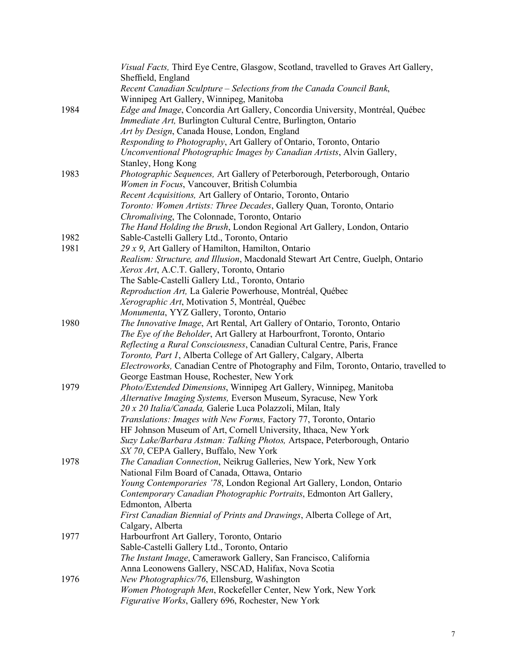|      | Visual Facts, Third Eye Centre, Glasgow, Scotland, travelled to Graves Art Gallery,   |
|------|---------------------------------------------------------------------------------------|
|      | Sheffield, England                                                                    |
|      | Recent Canadian Sculpture – Selections from the Canada Council Bank,                  |
|      | Winnipeg Art Gallery, Winnipeg, Manitoba                                              |
| 1984 | Edge and Image, Concordia Art Gallery, Concordia University, Montréal, Québec         |
|      | Immediate Art, Burlington Cultural Centre, Burlington, Ontario                        |
|      | Art by Design, Canada House, London, England                                          |
|      | Responding to Photography, Art Gallery of Ontario, Toronto, Ontario                   |
|      | Unconventional Photographic Images by Canadian Artists, Alvin Gallery,                |
|      | Stanley, Hong Kong                                                                    |
| 1983 | Photographic Sequences, Art Gallery of Peterborough, Peterborough, Ontario            |
|      | Women in Focus, Vancouver, British Columbia                                           |
|      | Recent Acquisitions, Art Gallery of Ontario, Toronto, Ontario                         |
|      | Toronto: Women Artists: Three Decades, Gallery Quan, Toronto, Ontario                 |
|      | Chromaliving, The Colonnade, Toronto, Ontario                                         |
|      | The Hand Holding the Brush, London Regional Art Gallery, London, Ontario              |
| 1982 | Sable-Castelli Gallery Ltd., Toronto, Ontario                                         |
| 1981 | 29 x 9, Art Gallery of Hamilton, Hamilton, Ontario                                    |
|      | Realism: Structure, and Illusion, Macdonald Stewart Art Centre, Guelph, Ontario       |
|      | Xerox Art, A.C.T. Gallery, Toronto, Ontario                                           |
|      | The Sable-Castelli Gallery Ltd., Toronto, Ontario                                     |
|      | Reproduction Art, La Galerie Powerhouse, Montréal, Québec                             |
|      | Xerographic Art, Motivation 5, Montréal, Québec                                       |
|      | Monumenta, YYZ Gallery, Toronto, Ontario                                              |
| 1980 | The Innovative Image, Art Rental, Art Gallery of Ontario, Toronto, Ontario            |
|      | The Eye of the Beholder, Art Gallery at Harbourfront, Toronto, Ontario                |
|      | Reflecting a Rural Consciousness, Canadian Cultural Centre, Paris, France             |
|      | Toronto, Part 1, Alberta College of Art Gallery, Calgary, Alberta                     |
|      | Electroworks, Canadian Centre of Photography and Film, Toronto, Ontario, travelled to |
|      | George Eastman House, Rochester, New York                                             |
| 1979 | Photo/Extended Dimensions, Winnipeg Art Gallery, Winnipeg, Manitoba                   |
|      | Alternative Imaging Systems, Everson Museum, Syracuse, New York                       |
|      | 20 x 20 Italia/Canada, Galerie Luca Polazzoli, Milan, Italy                           |
|      | Translations: Images with New Forms, Factory 77, Toronto, Ontario                     |
|      | HF Johnson Museum of Art, Cornell University, Ithaca, New York                        |
|      | Suzy Lake/Barbara Astman: Talking Photos, Artspace, Peterborough, Ontario             |
|      | SX 70, CEPA Gallery, Buffalo, New York                                                |
| 1978 | The Canadian Connection, Neikrug Galleries, New York, New York                        |
|      | National Film Board of Canada, Ottawa, Ontario                                        |
|      | Young Contemporaries '78, London Regional Art Gallery, London, Ontario                |
|      | Contemporary Canadian Photographic Portraits, Edmonton Art Gallery,                   |
|      | Edmonton, Alberta                                                                     |
|      | First Canadian Biennial of Prints and Drawings, Alberta College of Art,               |
|      |                                                                                       |
|      | Calgary, Alberta                                                                      |
| 1977 | Harbourfront Art Gallery, Toronto, Ontario                                            |
|      | Sable-Castelli Gallery Ltd., Toronto, Ontario                                         |
|      | The Instant Image, Camerawork Gallery, San Francisco, California                      |
|      | Anna Leonowens Gallery, NSCAD, Halifax, Nova Scotia                                   |
| 1976 | New Photographics/76, Ellensburg, Washington                                          |
|      | Women Photograph Men, Rockefeller Center, New York, New York                          |
|      | Figurative Works, Gallery 696, Rochester, New York                                    |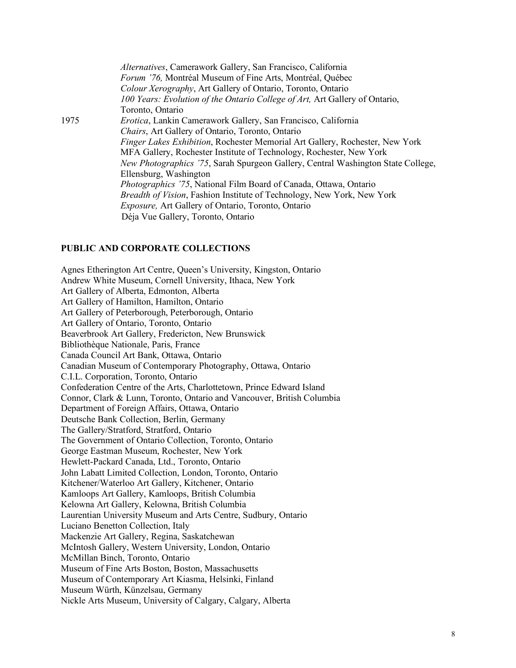|      | Alternatives, Camerawork Gallery, San Francisco, California                          |
|------|--------------------------------------------------------------------------------------|
|      | Forum '76, Montréal Museum of Fine Arts, Montréal, Québec                            |
|      | Colour Xerography, Art Gallery of Ontario, Toronto, Ontario                          |
|      | 100 Years: Evolution of the Ontario College of Art, Art Gallery of Ontario,          |
|      | Toronto, Ontario                                                                     |
| 1975 | Erotica, Lankin Camerawork Gallery, San Francisco, California                        |
|      | Chairs, Art Gallery of Ontario, Toronto, Ontario                                     |
|      | <i>Finger Lakes Exhibition</i> , Rochester Memorial Art Gallery, Rochester, New York |
|      | MFA Gallery, Rochester Institute of Technology, Rochester, New York                  |
|      | New Photographics '75, Sarah Spurgeon Gallery, Central Washington State College,     |
|      | Ellensburg, Washington                                                               |
|      | <i>Photographics '75, National Film Board of Canada, Ottawa, Ontario</i>             |
|      | <i>Breadth of Vision</i> , Fashion Institute of Technology, New York, New York       |
|      | <i>Exposure, Art Gallery of Ontario, Toronto, Ontario</i>                            |
|      | Déja Vue Gallery, Toronto, Ontario                                                   |

#### **PUBLIC AND CORPORATE COLLECTIONS**

Agnes Etherington Art Centre, Queen's University, Kingston, Ontario Andrew White Museum, Cornell University, Ithaca, New York Art Gallery of Alberta, Edmonton, Alberta Art Gallery of Hamilton, Hamilton, Ontario Art Gallery of Peterborough, Peterborough, Ontario Art Gallery of Ontario, Toronto, Ontario Beaverbrook Art Gallery, Fredericton, New Brunswick Bibliothèque Nationale, Paris, France Canada Council Art Bank, Ottawa, Ontario Canadian Museum of Contemporary Photography, Ottawa, Ontario C.I.L. Corporation, Toronto, Ontario Confederation Centre of the Arts, Charlottetown, Prince Edward Island Connor, Clark & Lunn, Toronto, Ontario and Vancouver, British Columbia Department of Foreign Affairs, Ottawa, Ontario Deutsche Bank Collection, Berlin, Germany The Gallery/Stratford, Stratford, Ontario The Government of Ontario Collection, Toronto, Ontario George Eastman Museum, Rochester, New York Hewlett-Packard Canada, Ltd., Toronto, Ontario John Labatt Limited Collection, London, Toronto, Ontario Kitchener/Waterloo Art Gallery, Kitchener, Ontario Kamloops Art Gallery, Kamloops, British Columbia Kelowna Art Gallery, Kelowna, British Columbia Laurentian University Museum and Arts Centre, Sudbury, Ontario Luciano Benetton Collection, Italy Mackenzie Art Gallery, Regina, Saskatchewan McIntosh Gallery, Western University, London, Ontario McMillan Binch, Toronto, Ontario Museum of Fine Arts Boston, Boston, Massachusetts Museum of Contemporary Art Kiasma, Helsinki, Finland Museum Würth, Künzelsau, Germany Nickle Arts Museum, University of Calgary, Calgary, Alberta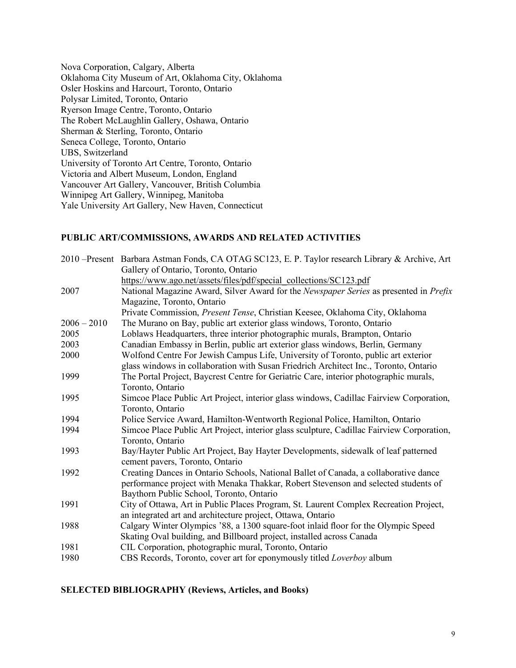Nova Corporation, Calgary, Alberta Oklahoma City Museum of Art, Oklahoma City, Oklahoma Osler Hoskins and Harcourt, Toronto, Ontario Polysar Limited, Toronto, Ontario Ryerson Image Centre, Toronto, Ontario The Robert McLaughlin Gallery, Oshawa, Ontario Sherman & Sterling, Toronto, Ontario Seneca College, Toronto, Ontario UBS, Switzerland University of Toronto Art Centre, Toronto, Ontario Victoria and Albert Museum, London, England Vancouver Art Gallery, Vancouver, British Columbia Winnipeg Art Gallery, Winnipeg, Manitoba Yale University Art Gallery, New Haven, Connecticut

### **PUBLIC ART/COMMISSIONS, AWARDS AND RELATED ACTIVITIES**

|               | 2010 – Present Barbara Astman Fonds, CA OTAG SC123, E. P. Taylor research Library & Archive, Art                      |
|---------------|-----------------------------------------------------------------------------------------------------------------------|
|               | Gallery of Ontario, Toronto, Ontario                                                                                  |
|               | https://www.ago.net/assets/files/pdf/special_collections/SC123.pdf                                                    |
| 2007          | National Magazine Award, Silver Award for the Newspaper Series as presented in Prefix                                 |
|               | Magazine, Toronto, Ontario                                                                                            |
|               | Private Commission, Present Tense, Christian Keesee, Oklahoma City, Oklahoma                                          |
| $2006 - 2010$ | The Murano on Bay, public art exterior glass windows, Toronto, Ontario                                                |
| 2005          | Loblaws Headquarters, three interior photographic murals, Brampton, Ontario                                           |
| 2003          | Canadian Embassy in Berlin, public art exterior glass windows, Berlin, Germany                                        |
| 2000          | Wolfond Centre For Jewish Campus Life, University of Toronto, public art exterior                                     |
|               | glass windows in collaboration with Susan Friedrich Architect Inc., Toronto, Ontario                                  |
| 1999          | The Portal Project, Baycrest Centre for Geriatric Care, interior photographic murals,                                 |
|               | Toronto, Ontario                                                                                                      |
| 1995          | Simcoe Place Public Art Project, interior glass windows, Cadillac Fairview Corporation,                               |
|               | Toronto, Ontario                                                                                                      |
| 1994          | Police Service Award, Hamilton-Wentworth Regional Police, Hamilton, Ontario                                           |
| 1994          | Simcoe Place Public Art Project, interior glass sculpture, Cadillac Fairview Corporation,                             |
|               | Toronto, Ontario                                                                                                      |
| 1993          | Bay/Hayter Public Art Project, Bay Hayter Developments, sidewalk of leaf patterned<br>cement pavers, Toronto, Ontario |
| 1992          | Creating Dances in Ontario Schools, National Ballet of Canada, a collaborative dance                                  |
|               | performance project with Menaka Thakkar, Robert Stevenson and selected students of                                    |
|               | Baythorn Public School, Toronto, Ontario                                                                              |
| 1991          | City of Ottawa, Art in Public Places Program, St. Laurent Complex Recreation Project,                                 |
|               | an integrated art and architecture project, Ottawa, Ontario                                                           |
| 1988          | Calgary Winter Olympics '88, a 1300 square-foot inlaid floor for the Olympic Speed                                    |
|               | Skating Oval building, and Billboard project, installed across Canada                                                 |
| 1981          | CIL Corporation, photographic mural, Toronto, Ontario                                                                 |
| 1980          | CBS Records, Toronto, cover art for eponymously titled Loverboy album                                                 |
|               |                                                                                                                       |

#### **SELECTED BIBLIOGRAPHY (Reviews, Articles, and Books)**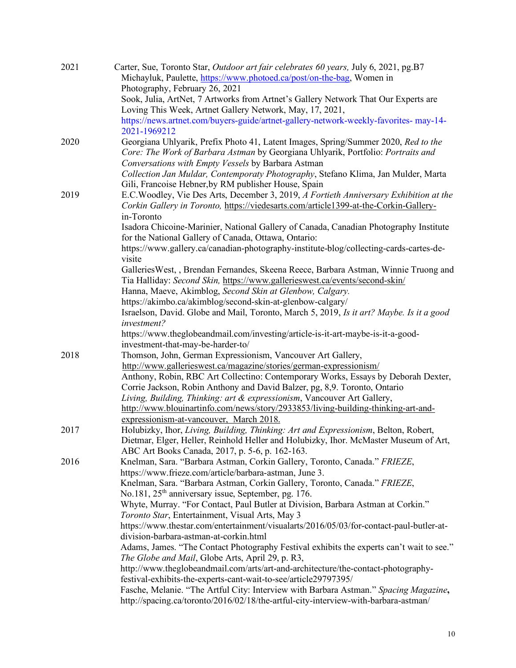| 2021 | Carter, Sue, Toronto Star, <i>Outdoor art fair celebrates 60 years</i> , July 6, 2021, pg.B7<br>Michayluk, Paulette, https://www.photoed.ca/post/on-the-bag, Women in |
|------|-----------------------------------------------------------------------------------------------------------------------------------------------------------------------|
|      | Photography, February 26, 2021                                                                                                                                        |
|      | Sook, Julia, ArtNet, 7 Artworks from Artnet's Gallery Network That Our Experts are                                                                                    |
|      | Loving This Week, Artnet Gallery Network, May, 17, 2021,                                                                                                              |
|      | https://news.artnet.com/buyers-guide/artnet-gallery-network-weekly-favorites- may-14-<br>2021-1969212                                                                 |
| 2020 | Georgiana Uhlyarik, Prefix Photo 41, Latent Images, Spring/Summer 2020, Red to the                                                                                    |
|      | Core: The Work of Barbara Astman by Georgiana Uhlyarik, Portfolio: Portraits and                                                                                      |
|      | Conversations with Empty Vessels by Barbara Astman                                                                                                                    |
|      | Collection Jan Muldar, Contemporaty Photography, Stefano Klima, Jan Mulder, Marta                                                                                     |
|      | Gili, Francoise Hebner, by RM publisher House, Spain                                                                                                                  |
| 2019 | E.C. Woodley, Vie Des Arts, December 3, 2019, A Fortieth Anniversary Exhibition at the                                                                                |
|      | Corkin Gallery in Toronto, https://viedesarts.com/article1399-at-the-Corkin-Gallery-                                                                                  |
|      | in-Toronto                                                                                                                                                            |
|      | Isadora Chicoine-Marinier, National Gallery of Canada, Canadian Photography Institute<br>for the National Gallery of Canada, Ottawa, Ontario:                         |
|      | https://www.gallery.ca/canadian-photography-institute-blog/collecting-cards-cartes-de-<br>visite                                                                      |
|      | GalleriesWest, , Brendan Fernandes, Skeena Reece, Barbara Astman, Winnie Truong and                                                                                   |
|      | Tia Halliday: Second Skin, https://www.gallerieswest.ca/events/second-skin/                                                                                           |
|      | Hanna, Maeve, Akimblog, Second Skin at Glenbow, Calgary.                                                                                                              |
|      | https://akimbo.ca/akimblog/second-skin-at-glenbow-calgary/                                                                                                            |
|      | Israelson, David. Globe and Mail, Toronto, March 5, 2019, Is it art? Maybe. Is it a good                                                                              |
|      | investment?                                                                                                                                                           |
|      | https://www.theglobeandmail.com/investing/article-is-it-art-maybe-is-it-a-good-                                                                                       |
|      | investment-that-may-be-harder-to/                                                                                                                                     |
| 2018 | Thomson, John, German Expressionism, Vancouver Art Gallery,                                                                                                           |
|      | http://www.gallerieswest.ca/magazine/stories/german-expressionism/                                                                                                    |
|      | Anthony, Robin, RBC Art Collectino: Contemporary Works, Essays by Deborah Dexter,                                                                                     |
|      | Corrie Jackson, Robin Anthony and David Balzer, pg, 8,9. Toronto, Ontario                                                                                             |
|      | Living, Building, Thinking: art & expressionism, Vancouver Art Gallery,                                                                                               |
|      | http://www.blouinartinfo.com/news/story/2933853/living-building-thinking-art-and-                                                                                     |
|      | expressionism-at-vancouver, March 2018.                                                                                                                               |
| 2017 | Holubizky, Ihor, Living, Building, Thinking: Art and Expressionism, Belton, Robert,                                                                                   |
|      | Dietmar, Elger, Heller, Reinhold Heller and Holubizky, Ihor. McMaster Museum of Art,                                                                                  |
|      | ABC Art Books Canada, 2017, p. 5-6, p. 162-163.                                                                                                                       |
| 2016 | Knelman, Sara. "Barbara Astman, Corkin Gallery, Toronto, Canada." FRIEZE,                                                                                             |
|      | https://www.frieze.com/article/barbara-astman, June 3.                                                                                                                |
|      | Knelman, Sara. "Barbara Astman, Corkin Gallery, Toronto, Canada." FRIEZE,                                                                                             |
|      | No.181, 25 <sup>th</sup> anniversary issue, September, pg. 176.                                                                                                       |
|      | Whyte, Murray. "For Contact, Paul Butler at Division, Barbara Astman at Corkin."                                                                                      |
|      | Toronto Star, Entertainment, Visual Arts, May 3                                                                                                                       |
|      | https://www.thestar.com/entertainment/visualarts/2016/05/03/for-contact-paul-butler-at-                                                                               |
|      | division-barbara-astman-at-corkin.html                                                                                                                                |
|      | Adams, James. "The Contact Photography Festival exhibits the experts can't wait to see."                                                                              |
|      | The Globe and Mail, Globe Arts, April 29, p. R3,                                                                                                                      |
|      | http://www.theglobeandmail.com/arts/art-and-architecture/the-contact-photography-                                                                                     |
|      | festival-exhibits-the-experts-cant-wait-to-see/article29797395/                                                                                                       |
|      | Fasche, Melanie. "The Artful City: Interview with Barbara Astman." Spacing Magazine,                                                                                  |
|      | http://spacing.ca/toronto/2016/02/18/the-artful-city-interview-with-barbara-astman/                                                                                   |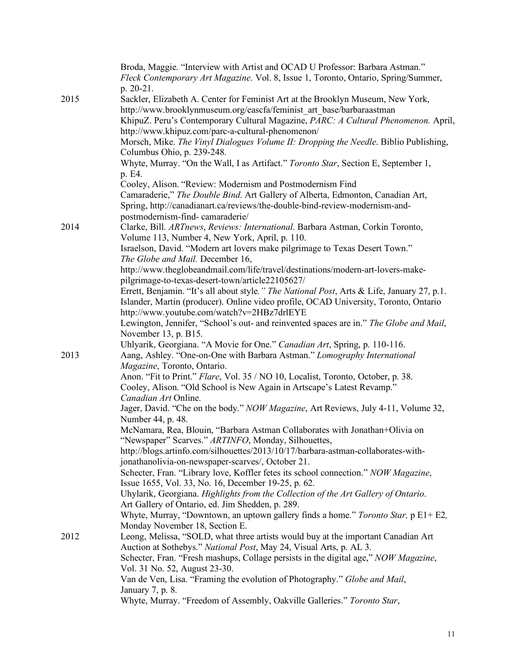|      | Broda, Maggie. "Interview with Artist and OCAD U Professor: Barbara Astman."<br>Fleck Contemporary Art Magazine. Vol. 8, Issue 1, Toronto, Ontario, Spring/Summer, |
|------|--------------------------------------------------------------------------------------------------------------------------------------------------------------------|
|      | p. 20-21.                                                                                                                                                          |
| 2015 | Sackler, Elizabeth A. Center for Feminist Art at the Brooklyn Museum, New York,                                                                                    |
|      | http://www.brooklynmuseum.org/eascfa/feminist art base/barbaraastman<br>KhipuZ. Peru's Contemporary Cultural Magazine, PARC: A Cultural Phenomenon. April,         |
|      |                                                                                                                                                                    |
|      | http://www.khipuz.com/parc-a-cultural-phenomenon/                                                                                                                  |
|      | Morsch, Mike. The Vinyl Dialogues Volume II: Dropping the Needle. Biblio Publishing,<br>Columbus Ohio, p. 239-248.                                                 |
|      | Whyte, Murray. "On the Wall, I as Artifact." Toronto Star, Section E, September 1,                                                                                 |
|      | p. E4.                                                                                                                                                             |
|      | Cooley, Alison. "Review: Modernism and Postmodernism Find                                                                                                          |
|      | Camaraderie," The Double Bind. Art Gallery of Alberta, Edmonton, Canadian Art,                                                                                     |
|      | Spring, http://canadianart.ca/reviews/the-double-bind-review-modernism-and-                                                                                        |
|      | postmodernism-find-camaraderie/                                                                                                                                    |
| 2014 | Clarke, Bill. ARTnews, Reviews: International. Barbara Astman, Corkin Toronto,<br>Volume 113, Number 4, New York, April, p. 110.                                   |
|      | Israelson, David. "Modern art lovers make pilgrimage to Texas Desert Town."                                                                                        |
|      | The Globe and Mail. December 16,                                                                                                                                   |
|      | http://www.theglobeandmail.com/life/travel/destinations/modern-art-lovers-make-                                                                                    |
|      | pilgrimage-to-texas-desert-town/article22105627/                                                                                                                   |
|      | Errett, Benjamin. "It's all about style." The National Post, Arts & Life, January 27, p.1.                                                                         |
|      | Islander, Martin (producer). Online video profile, OCAD University, Toronto, Ontario                                                                               |
|      | http://www.youtube.com/watch?v=2HBz7drlEYE                                                                                                                         |
|      | Lewington, Jennifer, "School's out- and reinvented spaces are in." The Globe and Mail,                                                                             |
|      | November 13, p. B15.                                                                                                                                               |
|      | Uhlyarik, Georgiana. "A Movie for One." Canadian Art, Spring, p. 110-116.                                                                                          |
| 2013 | Aang, Ashley. "One-on-One with Barbara Astman." Lomography International                                                                                           |
|      | Magazine, Toronto, Ontario.                                                                                                                                        |
|      | Anon. "Fit to Print." Flare, Vol. 35 / NO 10, Localist, Toronto, October, p. 38.                                                                                   |
|      | Cooley, Alison. "Old School is New Again in Artscape's Latest Revamp."                                                                                             |
|      | Canadian Art Online.                                                                                                                                               |
|      | Jager, David. "Che on the body." NOW Magazine, Art Reviews, July 4-11, Volume 32,                                                                                  |
|      | Number 44, p. 48.                                                                                                                                                  |
|      | McNamara, Rea, Blouin, "Barbara Astman Collaborates with Jonathan+Olivia on<br>"Newspaper" Scarves." ARTINFO, Monday, Silhouettes,                                 |
|      | http://blogs.artinfo.com/silhouettes/2013/10/17/barbara-astman-collaborates-with-                                                                                  |
|      | jonathanolivia-on-newspaper-scarves/, October 21.                                                                                                                  |
|      | Schecter, Fran. "Library love, Koffler fetes its school connection." NOW Magazine,                                                                                 |
|      | Issue 1655, Vol. 33, No. 16, December 19-25, p. 62.                                                                                                                |
|      | Uhylarik, Georgiana. Highlights from the Collection of the Art Gallery of Ontario.                                                                                 |
|      | Art Gallery of Ontario, ed. Jim Shedden, p. 289.                                                                                                                   |
|      | Whyte, Murray, "Downtown, an uptown gallery finds a home." Toronto Star, p E1+ E2,                                                                                 |
|      | Monday November 18, Section E.                                                                                                                                     |
| 2012 | Leong, Melissa, "SOLD, what three artists would buy at the important Canadian Art                                                                                  |
|      | Auction at Sothebys." National Post, May 24, Visual Arts, p. AL 3.                                                                                                 |
|      | Schecter, Fran. "Fresh mashups, Collage persists in the digital age," NOW Magazine,                                                                                |
|      | Vol. 31 No. 52, August 23-30.                                                                                                                                      |
|      | Van de Ven, Lisa. "Framing the evolution of Photography." Globe and Mail,                                                                                          |
|      | January 7, p. 8.                                                                                                                                                   |
|      | Whyte, Murray. "Freedom of Assembly, Oakville Galleries." Toronto Star,                                                                                            |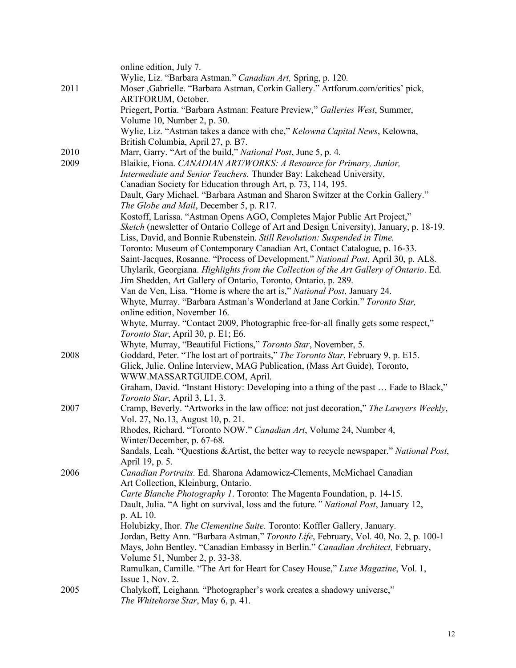|      | online edition, July 7.<br>Wylie, Liz. "Barbara Astman." Canadian Art, Spring, p. 120.                                                                                       |
|------|------------------------------------------------------------------------------------------------------------------------------------------------------------------------------|
| 2011 | Moser , Gabrielle. "Barbara Astman, Corkin Gallery." Artforum.com/critics' pick,<br>ARTFORUM, October.                                                                       |
|      | Priegert, Portia. "Barbara Astman: Feature Preview," Galleries West, Summer,<br>Volume 10, Number 2, p. 30.                                                                  |
|      | Wylie, Liz. "Astman takes a dance with che," Kelowna Capital News, Kelowna,<br>British Columbia, April 27, p. B7.                                                            |
| 2010 | Marr, Garry. "Art of the build," National Post, June 5, p. 4.                                                                                                                |
| 2009 | Blaikie, Fiona. CANADIAN ART/WORKS: A Resource for Primary, Junior,<br>Intermediate and Senior Teachers. Thunder Bay: Lakehead University,                                   |
|      | Canadian Society for Education through Art, p. 73, 114, 195.                                                                                                                 |
|      | Dault, Gary Michael. "Barbara Astman and Sharon Switzer at the Corkin Gallery."<br>The Globe and Mail, December 5, p. R17.                                                   |
|      | Kostoff, Larissa. "Astman Opens AGO, Completes Major Public Art Project,"                                                                                                    |
|      | Sketch (newsletter of Ontario College of Art and Design University), January, p. 18-19.<br>Liss, David, and Bonnie Rubenstein. Still Revolution: Suspended in Time.          |
|      | Toronto: Museum of Contemporary Canadian Art, Contact Catalogue, p. 16-33.                                                                                                   |
|      | Saint-Jacques, Rosanne. "Process of Development," National Post, April 30, p. AL8.<br>Uhylarik, Georgiana. Highlights from the Collection of the Art Gallery of Ontario. Ed. |
|      | Jim Shedden, Art Gallery of Ontario, Toronto, Ontario, p. 289.                                                                                                               |
|      | Van de Ven, Lisa. "Home is where the art is," National Post, January 24.                                                                                                     |
|      | Whyte, Murray. "Barbara Astman's Wonderland at Jane Corkin." Toronto Star,<br>online edition, November 16.                                                                   |
|      | Whyte, Murray. "Contact 2009, Photographic free-for-all finally gets some respect,"                                                                                          |
|      | Toronto Star, April 30, p. E1; E6.<br>Whyte, Murray, "Beautiful Fictions," Toronto Star, November, 5.                                                                        |
| 2008 | Goddard, Peter. "The lost art of portraits," The Toronto Star, February 9, p. E15.                                                                                           |
|      | Glick, Julie. Online Interview, MAG Publication, (Mass Art Guide), Toronto,<br>WWW.MASSARTGUIDE.COM, April.                                                                  |
|      | Graham, David. "Instant History: Developing into a thing of the past  Fade to Black,"                                                                                        |
|      | Toronto Star, April 3, L1, 3.                                                                                                                                                |
| 2007 | Cramp, Beverly. "Artworks in the law office: not just decoration," The Lawyers Weekly,<br>Vol. 27, No. 13, August 10, p. 21.                                                 |
|      | Rhodes, Richard. "Toronto NOW." Canadian Art, Volume 24, Number 4,                                                                                                           |
|      | Winter/December, p. 67-68.<br>Sandals, Leah. "Questions & Artist, the better way to recycle newspaper." National Post,                                                       |
|      | April 19, p. 5.                                                                                                                                                              |
| 2006 | Canadian Portraits. Ed. Sharona Adamowicz-Clements, McMichael Canadian<br>Art Collection, Kleinburg, Ontario.                                                                |
|      | Carte Blanche Photography 1. Toronto: The Magenta Foundation, p. 14-15.                                                                                                      |
|      | Dault, Julia. "A light on survival, loss and the future." National Post, January 12,<br>p. AL 10.                                                                            |
|      | Holubizky, Ihor. The Clementine Suite. Toronto: Koffler Gallery, January.                                                                                                    |
|      | Jordan, Betty Ann. "Barbara Astman," Toronto Life, February, Vol. 40, No. 2, p. 100-1                                                                                        |
|      | Mays, John Bentley. "Canadian Embassy in Berlin." Canadian Architect, February,<br>Volume 51, Number 2, p. 33-38.                                                            |
|      | Ramulkan, Camille. "The Art for Heart for Casey House," Luxe Magazine, Vol. 1,                                                                                               |
| 2005 | Issue $1$ , Nov. $2$ .<br>Chalykoff, Leighann. "Photographer's work creates a shadowy universe,"                                                                             |
|      | The Whitehorse Star, May 6, p. 41.                                                                                                                                           |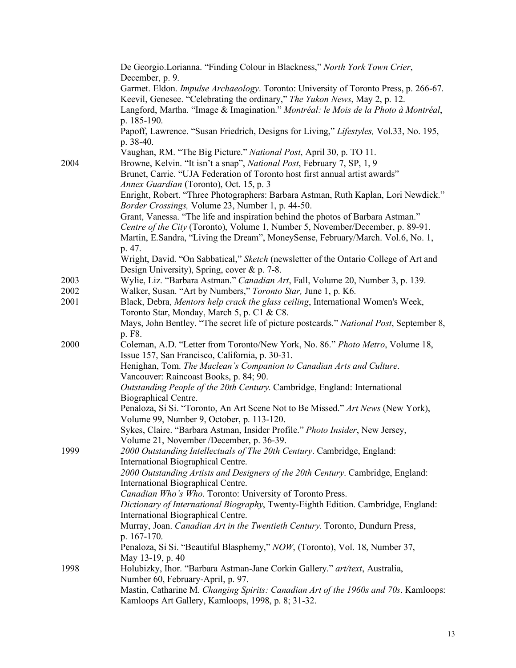|      | De Georgio.Lorianna. "Finding Colour in Blackness," North York Town Crier,                                                          |
|------|-------------------------------------------------------------------------------------------------------------------------------------|
|      | December, p. 9.                                                                                                                     |
|      | Garmet. Eldon. <i>Impulse Archaeology</i> . Toronto: University of Toronto Press, p. 266-67.                                        |
|      | Keevil, Genesee. "Celebrating the ordinary," The Yukon News, May 2, p. 12.                                                          |
|      | Langford, Martha. "Image & Imagination." Montréal: le Mois de la Photo à Montréal,                                                  |
|      | p. 185-190.                                                                                                                         |
|      | Papoff, Lawrence. "Susan Friedrich, Designs for Living," Lifestyles, Vol.33, No. 195,                                               |
|      | p. 38-40.                                                                                                                           |
|      | Vaughan, RM. "The Big Picture." National Post, April 30, p. TO 11.                                                                  |
| 2004 | Browne, Kelvin. "It isn't a snap", National Post, February 7, SP, 1, 9                                                              |
|      | Brunet, Carrie. "UJA Federation of Toronto host first annual artist awards"                                                         |
|      | Annex Guardian (Toronto), Oct. 15, p. 3                                                                                             |
|      | Enright, Robert. "Three Photographers: Barbara Astman, Ruth Kaplan, Lori Newdick."                                                  |
|      | Border Crossings, Volume 23, Number 1, p. 44-50.<br>Grant, Vanessa. "The life and inspiration behind the photos of Barbara Astman." |
|      | Centre of the City (Toronto), Volume 1, Number 5, November/December, p. 89-91.                                                      |
|      | Martin, E.Sandra, "Living the Dream", MoneySense, February/March. Vol.6, No. 1,                                                     |
|      | p. 47.                                                                                                                              |
|      | Wright, David. "On Sabbatical," Sketch (newsletter of the Ontario College of Art and                                                |
|      | Design University), Spring, cover & p. 7-8.                                                                                         |
| 2003 | Wylie, Liz. "Barbara Astman." Canadian Art, Fall, Volume 20, Number 3, p. 139.                                                      |
| 2002 | Walker, Susan. "Art by Numbers," Toronto Star, June 1, p. K6.                                                                       |
| 2001 | Black, Debra, Mentors help crack the glass ceiling, International Women's Week,                                                     |
|      | Toronto Star, Monday, March 5, p. C1 & C8.                                                                                          |
|      | Mays, John Bentley. "The secret life of picture postcards." National Post, September 8,                                             |
|      | p. F8.                                                                                                                              |
| 2000 | Coleman, A.D. "Letter from Toronto/New York, No. 86." Photo Metro, Volume 18,                                                       |
|      | Issue 157, San Francisco, California, p. 30-31.                                                                                     |
|      | Henighan, Tom. The Maclean's Companion to Canadian Arts and Culture.                                                                |
|      | Vancouver: Raincoast Books, p. 84; 90.                                                                                              |
|      | Outstanding People of the 20th Century. Cambridge, England: International                                                           |
|      | Biographical Centre.                                                                                                                |
|      | Penaloza, Si Si. "Toronto, An Art Scene Not to Be Missed." Art News (New York),                                                     |
|      | Volume 99, Number 9, October, p. 113-120.                                                                                           |
|      | Sykes, Claire. "Barbara Astman, Insider Profile." Photo Insider, New Jersey,                                                        |
|      | Volume 21, November /December, p. 36-39.                                                                                            |
| 1999 | 2000 Outstanding Intellectuals of The 20th Century. Cambridge, England:                                                             |
|      | International Biographical Centre.                                                                                                  |
|      | 2000 Outstanding Artists and Designers of the 20th Century. Cambridge, England:                                                     |
|      | International Biographical Centre.                                                                                                  |
|      | Canadian Who's Who. Toronto: University of Toronto Press.                                                                           |
|      | Dictionary of International Biography, Twenty-Eighth Edition. Cambridge, England:                                                   |
|      | International Biographical Centre.<br>Murray, Joan. Canadian Art in the Twentieth Century. Toronto, Dundurn Press,                  |
|      | p. 167-170.                                                                                                                         |
|      | Penaloza, Si Si. "Beautiful Blasphemy," NOW, (Toronto), Vol. 18, Number 37,                                                         |
|      | May 13-19, p. 40                                                                                                                    |
| 1998 | Holubizky, Ihor. "Barbara Astman-Jane Corkin Gallery." art/text, Australia,                                                         |
|      | Number 60, February-April, p. 97.                                                                                                   |
|      | Mastin, Catharine M. Changing Spirits: Canadian Art of the 1960s and 70s. Kamloops:                                                 |
|      | Kamloops Art Gallery, Kamloops, 1998, p. 8; 31-32.                                                                                  |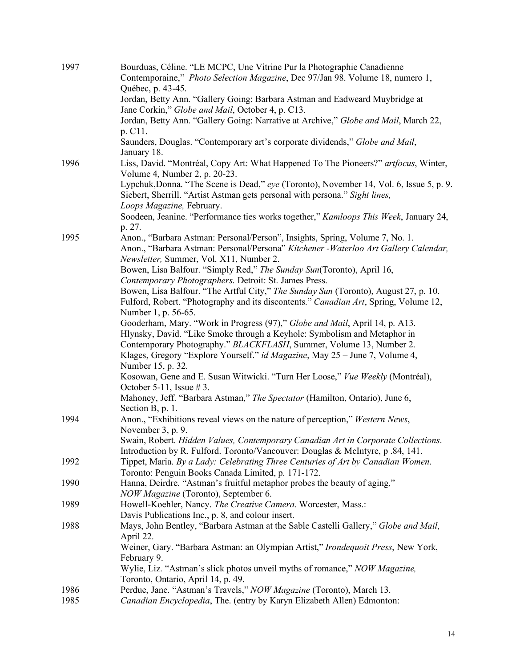| 1997         | Bourduas, Céline. "LE MCPC, Une Vitrine Pur la Photographie Canadienne<br>Contemporaine," Photo Selection Magazine, Dec 97/Jan 98. Volume 18, numero 1,<br>Québec, p. 43-45.                                    |
|--------------|-----------------------------------------------------------------------------------------------------------------------------------------------------------------------------------------------------------------|
|              | Jordan, Betty Ann. "Gallery Going: Barbara Astman and Eadweard Muybridge at<br>Jane Corkin," Globe and Mail, October 4, p. C13.                                                                                 |
|              | Jordan, Betty Ann. "Gallery Going: Narrative at Archive," Globe and Mail, March 22,<br>p. C11.                                                                                                                  |
|              | Saunders, Douglas. "Contemporary art's corporate dividends," Globe and Mail,<br>January 18.                                                                                                                     |
| 1996         | Liss, David. "Montréal, Copy Art: What Happened To The Pioneers?" artfocus, Winter,<br>Volume 4, Number 2, p. 20-23.                                                                                            |
|              | Lypchuk, Donna. "The Scene is Dead," eye (Toronto), November 14, Vol. 6, Issue 5, p. 9.<br>Siebert, Sherrill. "Artist Astman gets personal with persona." Sight lines,                                          |
|              | Loops Magazine, February.<br>Soodeen, Jeanine. "Performance ties works together," Kamloops This Week, January 24,<br>p. 27.                                                                                     |
| 1995         | Anon., "Barbara Astman: Personal/Person", Insights, Spring, Volume 7, No. 1.<br>Anon., "Barbara Astman: Personal/Persona" Kitchener - Waterloo Art Gallery Calendar,<br>Newsletter, Summer, Vol. X11, Number 2. |
|              | Bowen, Lisa Balfour. "Simply Red," The Sunday Sun(Toronto), April 16,<br>Contemporary Photographers. Detroit: St. James Press.                                                                                  |
|              | Bowen, Lisa Balfour. "The Artful City," The Sunday Sun (Toronto), August 27, p. 10.<br>Fulford, Robert. "Photography and its discontents." Canadian Art, Spring, Volume 12,<br>Number 1, p. 56-65.              |
|              | Gooderham, Mary. "Work in Progress (97)," Globe and Mail, April 14, p. A13.<br>Hlynsky, David. "Like Smoke through a Keyhole: Symbolism and Metaphor in                                                         |
|              | Contemporary Photography." BLACKFLASH, Summer, Volume 13, Number 2.<br>Klages, Gregory "Explore Yourself." id Magazine, May 25 – June 7, Volume 4,<br>Number 15, p. 32.                                         |
|              | Kosowan, Gene and E. Susan Witwicki. "Turn Her Loose," Vue Weekly (Montréal),<br>October 5-11, Issue $#3$ .                                                                                                     |
|              | Mahoney, Jeff. "Barbara Astman," The Spectator (Hamilton, Ontario), June 6,<br>Section B, p. 1.                                                                                                                 |
| 1994         | Anon., "Exhibitions reveal views on the nature of perception," Western News,<br>November 3, p. 9.                                                                                                               |
|              | Swain, Robert. Hidden Values, Contemporary Canadian Art in Corporate Collections.<br>Introduction by R. Fulford. Toronto/Vancouver: Douglas & McIntyre, p.84, 141.                                              |
| 1992         | Tippet, Maria. By a Lady: Celebrating Three Centuries of Art by Canadian Women.<br>Toronto: Penguin Books Canada Limited, p. 171-172.                                                                           |
| 1990         | Hanna, Deirdre. "Astman's fruitful metaphor probes the beauty of aging,"<br>NOW Magazine (Toronto), September 6.                                                                                                |
| 1989         | Howell-Koehler, Nancy. The Creative Camera. Worcester, Mass.:<br>Davis Publications Inc., p. 8, and colour insert.                                                                                              |
| 1988         | Mays, John Bentley, "Barbara Astman at the Sable Castelli Gallery," Globe and Mail,<br>April 22.                                                                                                                |
|              | Weiner, Gary. "Barbara Astman: an Olympian Artist," Irondequoit Press, New York,<br>February 9.                                                                                                                 |
|              | Wylie, Liz. "Astman's slick photos unveil myths of romance," NOW Magazine,<br>Toronto, Ontario, April 14, p. 49.                                                                                                |
| 1986<br>1985 | Perdue, Jane. "Astman's Travels," NOW Magazine (Toronto), March 13.<br>Canadian Encyclopedia, The. (entry by Karyn Elizabeth Allen) Edmonton:                                                                   |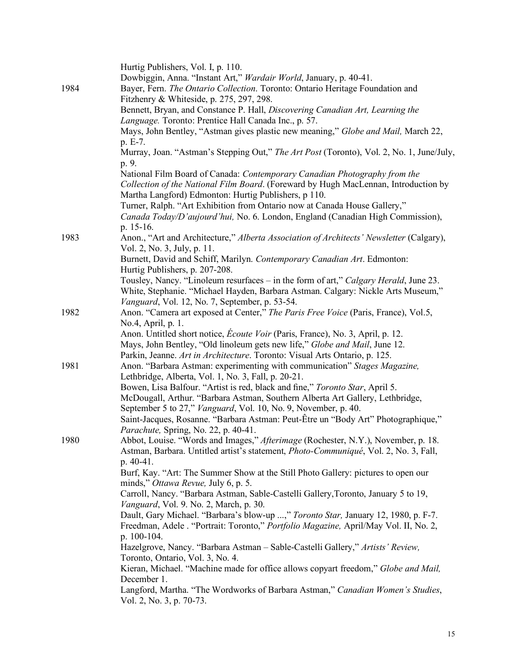| Fitzhenry & Whiteside, p. 275, 297, 298.<br>Bennett, Bryan, and Constance P. Hall, Discovering Canadian Art, Learning the<br>Language. Toronto: Prentice Hall Canada Inc., p. 57.<br>Mays, John Bentley, "Astman gives plastic new meaning," Globe and Mail, March 22,<br>p. E-7.<br>Murray, Joan. "Astman's Stepping Out," The Art Post (Toronto), Vol. 2, No. 1, June/July,<br>p. 9.<br>National Film Board of Canada: Contemporary Canadian Photography from the<br>Collection of the National Film Board. (Foreward by Hugh MacLennan, Introduction by<br>Martha Langford) Edmonton: Hurtig Publishers, p 110.<br>Turner, Ralph. "Art Exhibition from Ontario now at Canada House Gallery,"<br>Canada Today/D'aujourd'hui, No. 6. London, England (Canadian High Commission),<br>p. 15-16.<br>Anon., "Art and Architecture," Alberta Association of Architects' Newsletter (Calgary),<br>1983<br>Vol. 2, No. 3, July, p. 11.<br>Burnett, David and Schiff, Marilyn. Contemporary Canadian Art. Edmonton:<br>Hurtig Publishers, p. 207-208.<br>Tousley, Nancy. "Linoleum resurfaces – in the form of art," Calgary Herald, June 23.<br>White, Stephanie. "Michael Hayden, Barbara Astman. Calgary: Nickle Arts Museum,"<br>Vanguard, Vol. 12, No. 7, September, p. 53-54.<br>Anon. "Camera art exposed at Center," The Paris Free Voice (Paris, France), Vol.5,<br>1982<br>No.4, April, p. 1.<br>Anon. Untitled short notice, <i>Écoute Voir</i> (Paris, France), No. 3, April, p. 12.<br>Mays, John Bentley, "Old linoleum gets new life," Globe and Mail, June 12.<br>Parkin, Jeanne. Art in Architecture. Toronto: Visual Arts Ontario, p. 125.<br>1981<br>Anon. "Barbara Astman: experimenting with communication" Stages Magazine,<br>Lethbridge, Alberta, Vol. 1, No. 3, Fall, p. 20-21.<br>Bowen, Lisa Balfour. "Artist is red, black and fine," Toronto Star, April 5.<br>McDougall, Arthur. "Barbara Astman, Southern Alberta Art Gallery, Lethbridge,<br>September 5 to 27," Vanguard, Vol. 10, No. 9, November, p. 40.<br>Saint-Jacques, Rosanne. "Barbara Astman: Peut-Être un "Body Art" Photographique,"<br>Parachute, Spring, No. 22, p. 40-41.<br>Abbot, Louise. "Words and Images," Afterimage (Rochester, N.Y.), November, p. 18.<br>1980<br>Astman, Barbara. Untitled artist's statement, <i>Photo-Communiqué</i> , Vol. 2, No. 3, Fall,<br>$p. 40-41.$<br>Burf, Kay. "Art: The Summer Show at the Still Photo Gallery: pictures to open our<br>minds," Ottawa Revue, July 6, p. 5.<br>Carroll, Nancy. "Barbara Astman, Sable-Castelli Gallery, Toronto, January 5 to 19,<br>Vanguard, Vol. 9. No. 2, March, p. 30.<br>Dault, Gary Michael. "Barbara's blow-up ," Toronto Star, January 12, 1980, p. F-7. | 1984 | Hurtig Publishers, Vol. I, p. 110.<br>Dowbiggin, Anna. "Instant Art," Wardair World, January, p. 40-41.<br>Bayer, Fern. The Ontario Collection. Toronto: Ontario Heritage Foundation and |
|---------------------------------------------------------------------------------------------------------------------------------------------------------------------------------------------------------------------------------------------------------------------------------------------------------------------------------------------------------------------------------------------------------------------------------------------------------------------------------------------------------------------------------------------------------------------------------------------------------------------------------------------------------------------------------------------------------------------------------------------------------------------------------------------------------------------------------------------------------------------------------------------------------------------------------------------------------------------------------------------------------------------------------------------------------------------------------------------------------------------------------------------------------------------------------------------------------------------------------------------------------------------------------------------------------------------------------------------------------------------------------------------------------------------------------------------------------------------------------------------------------------------------------------------------------------------------------------------------------------------------------------------------------------------------------------------------------------------------------------------------------------------------------------------------------------------------------------------------------------------------------------------------------------------------------------------------------------------------------------------------------------------------------------------------------------------------------------------------------------------------------------------------------------------------------------------------------------------------------------------------------------------------------------------------------------------------------------------------------------------------------------------------------------------------------------------------------------------------------------------------------------------------------------------------------------------------------------------------------------------------------------------------------------------------------------------------------------------------------|------|------------------------------------------------------------------------------------------------------------------------------------------------------------------------------------------|
|                                                                                                                                                                                                                                                                                                                                                                                                                                                                                                                                                                                                                                                                                                                                                                                                                                                                                                                                                                                                                                                                                                                                                                                                                                                                                                                                                                                                                                                                                                                                                                                                                                                                                                                                                                                                                                                                                                                                                                                                                                                                                                                                                                                                                                                                                                                                                                                                                                                                                                                                                                                                                                                                                                                                 |      |                                                                                                                                                                                          |
|                                                                                                                                                                                                                                                                                                                                                                                                                                                                                                                                                                                                                                                                                                                                                                                                                                                                                                                                                                                                                                                                                                                                                                                                                                                                                                                                                                                                                                                                                                                                                                                                                                                                                                                                                                                                                                                                                                                                                                                                                                                                                                                                                                                                                                                                                                                                                                                                                                                                                                                                                                                                                                                                                                                                 |      |                                                                                                                                                                                          |
|                                                                                                                                                                                                                                                                                                                                                                                                                                                                                                                                                                                                                                                                                                                                                                                                                                                                                                                                                                                                                                                                                                                                                                                                                                                                                                                                                                                                                                                                                                                                                                                                                                                                                                                                                                                                                                                                                                                                                                                                                                                                                                                                                                                                                                                                                                                                                                                                                                                                                                                                                                                                                                                                                                                                 |      |                                                                                                                                                                                          |
|                                                                                                                                                                                                                                                                                                                                                                                                                                                                                                                                                                                                                                                                                                                                                                                                                                                                                                                                                                                                                                                                                                                                                                                                                                                                                                                                                                                                                                                                                                                                                                                                                                                                                                                                                                                                                                                                                                                                                                                                                                                                                                                                                                                                                                                                                                                                                                                                                                                                                                                                                                                                                                                                                                                                 |      |                                                                                                                                                                                          |
|                                                                                                                                                                                                                                                                                                                                                                                                                                                                                                                                                                                                                                                                                                                                                                                                                                                                                                                                                                                                                                                                                                                                                                                                                                                                                                                                                                                                                                                                                                                                                                                                                                                                                                                                                                                                                                                                                                                                                                                                                                                                                                                                                                                                                                                                                                                                                                                                                                                                                                                                                                                                                                                                                                                                 |      |                                                                                                                                                                                          |
|                                                                                                                                                                                                                                                                                                                                                                                                                                                                                                                                                                                                                                                                                                                                                                                                                                                                                                                                                                                                                                                                                                                                                                                                                                                                                                                                                                                                                                                                                                                                                                                                                                                                                                                                                                                                                                                                                                                                                                                                                                                                                                                                                                                                                                                                                                                                                                                                                                                                                                                                                                                                                                                                                                                                 |      |                                                                                                                                                                                          |
|                                                                                                                                                                                                                                                                                                                                                                                                                                                                                                                                                                                                                                                                                                                                                                                                                                                                                                                                                                                                                                                                                                                                                                                                                                                                                                                                                                                                                                                                                                                                                                                                                                                                                                                                                                                                                                                                                                                                                                                                                                                                                                                                                                                                                                                                                                                                                                                                                                                                                                                                                                                                                                                                                                                                 |      |                                                                                                                                                                                          |
|                                                                                                                                                                                                                                                                                                                                                                                                                                                                                                                                                                                                                                                                                                                                                                                                                                                                                                                                                                                                                                                                                                                                                                                                                                                                                                                                                                                                                                                                                                                                                                                                                                                                                                                                                                                                                                                                                                                                                                                                                                                                                                                                                                                                                                                                                                                                                                                                                                                                                                                                                                                                                                                                                                                                 |      |                                                                                                                                                                                          |
|                                                                                                                                                                                                                                                                                                                                                                                                                                                                                                                                                                                                                                                                                                                                                                                                                                                                                                                                                                                                                                                                                                                                                                                                                                                                                                                                                                                                                                                                                                                                                                                                                                                                                                                                                                                                                                                                                                                                                                                                                                                                                                                                                                                                                                                                                                                                                                                                                                                                                                                                                                                                                                                                                                                                 |      |                                                                                                                                                                                          |
|                                                                                                                                                                                                                                                                                                                                                                                                                                                                                                                                                                                                                                                                                                                                                                                                                                                                                                                                                                                                                                                                                                                                                                                                                                                                                                                                                                                                                                                                                                                                                                                                                                                                                                                                                                                                                                                                                                                                                                                                                                                                                                                                                                                                                                                                                                                                                                                                                                                                                                                                                                                                                                                                                                                                 |      |                                                                                                                                                                                          |
|                                                                                                                                                                                                                                                                                                                                                                                                                                                                                                                                                                                                                                                                                                                                                                                                                                                                                                                                                                                                                                                                                                                                                                                                                                                                                                                                                                                                                                                                                                                                                                                                                                                                                                                                                                                                                                                                                                                                                                                                                                                                                                                                                                                                                                                                                                                                                                                                                                                                                                                                                                                                                                                                                                                                 |      |                                                                                                                                                                                          |
|                                                                                                                                                                                                                                                                                                                                                                                                                                                                                                                                                                                                                                                                                                                                                                                                                                                                                                                                                                                                                                                                                                                                                                                                                                                                                                                                                                                                                                                                                                                                                                                                                                                                                                                                                                                                                                                                                                                                                                                                                                                                                                                                                                                                                                                                                                                                                                                                                                                                                                                                                                                                                                                                                                                                 |      |                                                                                                                                                                                          |
|                                                                                                                                                                                                                                                                                                                                                                                                                                                                                                                                                                                                                                                                                                                                                                                                                                                                                                                                                                                                                                                                                                                                                                                                                                                                                                                                                                                                                                                                                                                                                                                                                                                                                                                                                                                                                                                                                                                                                                                                                                                                                                                                                                                                                                                                                                                                                                                                                                                                                                                                                                                                                                                                                                                                 |      |                                                                                                                                                                                          |
|                                                                                                                                                                                                                                                                                                                                                                                                                                                                                                                                                                                                                                                                                                                                                                                                                                                                                                                                                                                                                                                                                                                                                                                                                                                                                                                                                                                                                                                                                                                                                                                                                                                                                                                                                                                                                                                                                                                                                                                                                                                                                                                                                                                                                                                                                                                                                                                                                                                                                                                                                                                                                                                                                                                                 |      |                                                                                                                                                                                          |
|                                                                                                                                                                                                                                                                                                                                                                                                                                                                                                                                                                                                                                                                                                                                                                                                                                                                                                                                                                                                                                                                                                                                                                                                                                                                                                                                                                                                                                                                                                                                                                                                                                                                                                                                                                                                                                                                                                                                                                                                                                                                                                                                                                                                                                                                                                                                                                                                                                                                                                                                                                                                                                                                                                                                 |      |                                                                                                                                                                                          |
|                                                                                                                                                                                                                                                                                                                                                                                                                                                                                                                                                                                                                                                                                                                                                                                                                                                                                                                                                                                                                                                                                                                                                                                                                                                                                                                                                                                                                                                                                                                                                                                                                                                                                                                                                                                                                                                                                                                                                                                                                                                                                                                                                                                                                                                                                                                                                                                                                                                                                                                                                                                                                                                                                                                                 |      |                                                                                                                                                                                          |
|                                                                                                                                                                                                                                                                                                                                                                                                                                                                                                                                                                                                                                                                                                                                                                                                                                                                                                                                                                                                                                                                                                                                                                                                                                                                                                                                                                                                                                                                                                                                                                                                                                                                                                                                                                                                                                                                                                                                                                                                                                                                                                                                                                                                                                                                                                                                                                                                                                                                                                                                                                                                                                                                                                                                 |      |                                                                                                                                                                                          |
|                                                                                                                                                                                                                                                                                                                                                                                                                                                                                                                                                                                                                                                                                                                                                                                                                                                                                                                                                                                                                                                                                                                                                                                                                                                                                                                                                                                                                                                                                                                                                                                                                                                                                                                                                                                                                                                                                                                                                                                                                                                                                                                                                                                                                                                                                                                                                                                                                                                                                                                                                                                                                                                                                                                                 |      |                                                                                                                                                                                          |
|                                                                                                                                                                                                                                                                                                                                                                                                                                                                                                                                                                                                                                                                                                                                                                                                                                                                                                                                                                                                                                                                                                                                                                                                                                                                                                                                                                                                                                                                                                                                                                                                                                                                                                                                                                                                                                                                                                                                                                                                                                                                                                                                                                                                                                                                                                                                                                                                                                                                                                                                                                                                                                                                                                                                 |      |                                                                                                                                                                                          |
|                                                                                                                                                                                                                                                                                                                                                                                                                                                                                                                                                                                                                                                                                                                                                                                                                                                                                                                                                                                                                                                                                                                                                                                                                                                                                                                                                                                                                                                                                                                                                                                                                                                                                                                                                                                                                                                                                                                                                                                                                                                                                                                                                                                                                                                                                                                                                                                                                                                                                                                                                                                                                                                                                                                                 |      |                                                                                                                                                                                          |
|                                                                                                                                                                                                                                                                                                                                                                                                                                                                                                                                                                                                                                                                                                                                                                                                                                                                                                                                                                                                                                                                                                                                                                                                                                                                                                                                                                                                                                                                                                                                                                                                                                                                                                                                                                                                                                                                                                                                                                                                                                                                                                                                                                                                                                                                                                                                                                                                                                                                                                                                                                                                                                                                                                                                 |      |                                                                                                                                                                                          |
|                                                                                                                                                                                                                                                                                                                                                                                                                                                                                                                                                                                                                                                                                                                                                                                                                                                                                                                                                                                                                                                                                                                                                                                                                                                                                                                                                                                                                                                                                                                                                                                                                                                                                                                                                                                                                                                                                                                                                                                                                                                                                                                                                                                                                                                                                                                                                                                                                                                                                                                                                                                                                                                                                                                                 |      |                                                                                                                                                                                          |
|                                                                                                                                                                                                                                                                                                                                                                                                                                                                                                                                                                                                                                                                                                                                                                                                                                                                                                                                                                                                                                                                                                                                                                                                                                                                                                                                                                                                                                                                                                                                                                                                                                                                                                                                                                                                                                                                                                                                                                                                                                                                                                                                                                                                                                                                                                                                                                                                                                                                                                                                                                                                                                                                                                                                 |      |                                                                                                                                                                                          |
|                                                                                                                                                                                                                                                                                                                                                                                                                                                                                                                                                                                                                                                                                                                                                                                                                                                                                                                                                                                                                                                                                                                                                                                                                                                                                                                                                                                                                                                                                                                                                                                                                                                                                                                                                                                                                                                                                                                                                                                                                                                                                                                                                                                                                                                                                                                                                                                                                                                                                                                                                                                                                                                                                                                                 |      |                                                                                                                                                                                          |
|                                                                                                                                                                                                                                                                                                                                                                                                                                                                                                                                                                                                                                                                                                                                                                                                                                                                                                                                                                                                                                                                                                                                                                                                                                                                                                                                                                                                                                                                                                                                                                                                                                                                                                                                                                                                                                                                                                                                                                                                                                                                                                                                                                                                                                                                                                                                                                                                                                                                                                                                                                                                                                                                                                                                 |      |                                                                                                                                                                                          |
|                                                                                                                                                                                                                                                                                                                                                                                                                                                                                                                                                                                                                                                                                                                                                                                                                                                                                                                                                                                                                                                                                                                                                                                                                                                                                                                                                                                                                                                                                                                                                                                                                                                                                                                                                                                                                                                                                                                                                                                                                                                                                                                                                                                                                                                                                                                                                                                                                                                                                                                                                                                                                                                                                                                                 |      |                                                                                                                                                                                          |
|                                                                                                                                                                                                                                                                                                                                                                                                                                                                                                                                                                                                                                                                                                                                                                                                                                                                                                                                                                                                                                                                                                                                                                                                                                                                                                                                                                                                                                                                                                                                                                                                                                                                                                                                                                                                                                                                                                                                                                                                                                                                                                                                                                                                                                                                                                                                                                                                                                                                                                                                                                                                                                                                                                                                 |      |                                                                                                                                                                                          |
|                                                                                                                                                                                                                                                                                                                                                                                                                                                                                                                                                                                                                                                                                                                                                                                                                                                                                                                                                                                                                                                                                                                                                                                                                                                                                                                                                                                                                                                                                                                                                                                                                                                                                                                                                                                                                                                                                                                                                                                                                                                                                                                                                                                                                                                                                                                                                                                                                                                                                                                                                                                                                                                                                                                                 |      |                                                                                                                                                                                          |
|                                                                                                                                                                                                                                                                                                                                                                                                                                                                                                                                                                                                                                                                                                                                                                                                                                                                                                                                                                                                                                                                                                                                                                                                                                                                                                                                                                                                                                                                                                                                                                                                                                                                                                                                                                                                                                                                                                                                                                                                                                                                                                                                                                                                                                                                                                                                                                                                                                                                                                                                                                                                                                                                                                                                 |      |                                                                                                                                                                                          |
|                                                                                                                                                                                                                                                                                                                                                                                                                                                                                                                                                                                                                                                                                                                                                                                                                                                                                                                                                                                                                                                                                                                                                                                                                                                                                                                                                                                                                                                                                                                                                                                                                                                                                                                                                                                                                                                                                                                                                                                                                                                                                                                                                                                                                                                                                                                                                                                                                                                                                                                                                                                                                                                                                                                                 |      |                                                                                                                                                                                          |
|                                                                                                                                                                                                                                                                                                                                                                                                                                                                                                                                                                                                                                                                                                                                                                                                                                                                                                                                                                                                                                                                                                                                                                                                                                                                                                                                                                                                                                                                                                                                                                                                                                                                                                                                                                                                                                                                                                                                                                                                                                                                                                                                                                                                                                                                                                                                                                                                                                                                                                                                                                                                                                                                                                                                 |      |                                                                                                                                                                                          |
|                                                                                                                                                                                                                                                                                                                                                                                                                                                                                                                                                                                                                                                                                                                                                                                                                                                                                                                                                                                                                                                                                                                                                                                                                                                                                                                                                                                                                                                                                                                                                                                                                                                                                                                                                                                                                                                                                                                                                                                                                                                                                                                                                                                                                                                                                                                                                                                                                                                                                                                                                                                                                                                                                                                                 |      | Freedman, Adele . "Portrait: Toronto," Portfolio Magazine, April/May Vol. II, No. 2,                                                                                                     |
| p. 100-104.<br>Hazelgrove, Nancy. "Barbara Astman - Sable-Castelli Gallery," Artists' Review,                                                                                                                                                                                                                                                                                                                                                                                                                                                                                                                                                                                                                                                                                                                                                                                                                                                                                                                                                                                                                                                                                                                                                                                                                                                                                                                                                                                                                                                                                                                                                                                                                                                                                                                                                                                                                                                                                                                                                                                                                                                                                                                                                                                                                                                                                                                                                                                                                                                                                                                                                                                                                                   |      |                                                                                                                                                                                          |
| Toronto, Ontario, Vol. 3, No. 4.                                                                                                                                                                                                                                                                                                                                                                                                                                                                                                                                                                                                                                                                                                                                                                                                                                                                                                                                                                                                                                                                                                                                                                                                                                                                                                                                                                                                                                                                                                                                                                                                                                                                                                                                                                                                                                                                                                                                                                                                                                                                                                                                                                                                                                                                                                                                                                                                                                                                                                                                                                                                                                                                                                |      |                                                                                                                                                                                          |
| Kieran, Michael. "Machine made for office allows copyart freedom," Globe and Mail,                                                                                                                                                                                                                                                                                                                                                                                                                                                                                                                                                                                                                                                                                                                                                                                                                                                                                                                                                                                                                                                                                                                                                                                                                                                                                                                                                                                                                                                                                                                                                                                                                                                                                                                                                                                                                                                                                                                                                                                                                                                                                                                                                                                                                                                                                                                                                                                                                                                                                                                                                                                                                                              |      |                                                                                                                                                                                          |
|                                                                                                                                                                                                                                                                                                                                                                                                                                                                                                                                                                                                                                                                                                                                                                                                                                                                                                                                                                                                                                                                                                                                                                                                                                                                                                                                                                                                                                                                                                                                                                                                                                                                                                                                                                                                                                                                                                                                                                                                                                                                                                                                                                                                                                                                                                                                                                                                                                                                                                                                                                                                                                                                                                                                 |      | December 1.                                                                                                                                                                              |
|                                                                                                                                                                                                                                                                                                                                                                                                                                                                                                                                                                                                                                                                                                                                                                                                                                                                                                                                                                                                                                                                                                                                                                                                                                                                                                                                                                                                                                                                                                                                                                                                                                                                                                                                                                                                                                                                                                                                                                                                                                                                                                                                                                                                                                                                                                                                                                                                                                                                                                                                                                                                                                                                                                                                 |      | Langford, Martha. "The Wordworks of Barbara Astman," Canadian Women's Studies,<br>Vol. 2, No. 3, p. 70-73.                                                                               |
|                                                                                                                                                                                                                                                                                                                                                                                                                                                                                                                                                                                                                                                                                                                                                                                                                                                                                                                                                                                                                                                                                                                                                                                                                                                                                                                                                                                                                                                                                                                                                                                                                                                                                                                                                                                                                                                                                                                                                                                                                                                                                                                                                                                                                                                                                                                                                                                                                                                                                                                                                                                                                                                                                                                                 |      |                                                                                                                                                                                          |
|                                                                                                                                                                                                                                                                                                                                                                                                                                                                                                                                                                                                                                                                                                                                                                                                                                                                                                                                                                                                                                                                                                                                                                                                                                                                                                                                                                                                                                                                                                                                                                                                                                                                                                                                                                                                                                                                                                                                                                                                                                                                                                                                                                                                                                                                                                                                                                                                                                                                                                                                                                                                                                                                                                                                 |      |                                                                                                                                                                                          |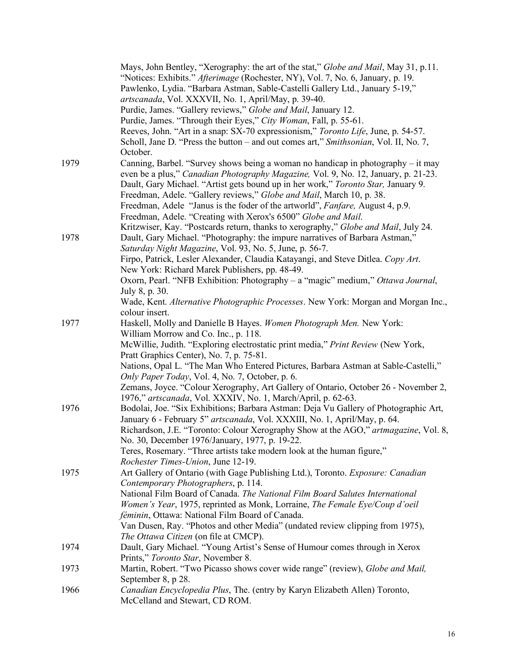|      | Mays, John Bentley, "Xerography: the art of the stat," Globe and Mail, May 31, p.11.<br>"Notices: Exhibits." Afterimage (Rochester, NY), Vol. 7, No. 6, January, p. 19.<br>Pawlenko, Lydia. "Barbara Astman, Sable-Castelli Gallery Ltd., January 5-19,"<br>artscanada, Vol. XXXVII, No. 1, April/May, p. 39-40. |
|------|------------------------------------------------------------------------------------------------------------------------------------------------------------------------------------------------------------------------------------------------------------------------------------------------------------------|
|      | Purdie, James. "Gallery reviews," Globe and Mail, January 12.                                                                                                                                                                                                                                                    |
|      | Purdie, James. "Through their Eyes," City Woman, Fall, p. 55-61.                                                                                                                                                                                                                                                 |
|      | Reeves, John. "Art in a snap: SX-70 expressionism," Toronto Life, June, p. 54-57.<br>Scholl, Jane D. "Press the button - and out comes art," Smithsonian, Vol. II, No. 7,<br>October.                                                                                                                            |
| 1979 | Canning, Barbel. "Survey shows being a woman no handicap in photography - it may                                                                                                                                                                                                                                 |
|      | even be a plus," Canadian Photography Magazine, Vol. 9, No. 12, January, p. 21-23.<br>Dault, Gary Michael. "Artist gets bound up in her work," Toronto Star, January 9.                                                                                                                                          |
|      | Freedman, Adele. "Gallery reviews," Globe and Mail, March 10, p. 38.                                                                                                                                                                                                                                             |
|      | Freedman, Adele "Janus is the foder of the artworld", Fanfare, August 4, p.9.                                                                                                                                                                                                                                    |
|      | Freedman, Adele. "Creating with Xerox's 6500" Globe and Mail.                                                                                                                                                                                                                                                    |
| 1978 | Kritzwiser, Kay. "Postcards return, thanks to xerography," Globe and Mail, July 24.<br>Dault, Gary Michael. "Photography: the impure narratives of Barbara Astman,"                                                                                                                                              |
|      | Saturday Night Magazine, Vol. 93, No. 5, June, p. 56-7.                                                                                                                                                                                                                                                          |
|      | Firpo, Patrick, Lesler Alexander, Claudia Katayangi, and Steve Ditlea. Copy Art.                                                                                                                                                                                                                                 |
|      | New York: Richard Marek Publishers, pp. 48-49.                                                                                                                                                                                                                                                                   |
|      | Oxorn, Pearl. "NFB Exhibition: Photography - a "magic" medium," Ottawa Journal,<br>July 8, p. 30.                                                                                                                                                                                                                |
|      | Wade, Kent. Alternative Photographic Processes. New York: Morgan and Morgan Inc.,                                                                                                                                                                                                                                |
|      | colour insert.                                                                                                                                                                                                                                                                                                   |
| 1977 | Haskell, Molly and Danielle B Hayes. Women Photograph Men. New York:                                                                                                                                                                                                                                             |
|      | William Morrow and Co. Inc., p. 118.                                                                                                                                                                                                                                                                             |
|      | McWillie, Judith. "Exploring electrostatic print media," Print Review (New York,                                                                                                                                                                                                                                 |
|      | Pratt Graphics Center), No. 7, p. 75-81.                                                                                                                                                                                                                                                                         |
|      | Nations, Opal L. "The Man Who Entered Pictures, Barbara Astman at Sable-Castelli,"                                                                                                                                                                                                                               |
|      | Only Paper Today, Vol. 4, No. 7, October, p. 6.                                                                                                                                                                                                                                                                  |
|      | Zemans, Joyce. "Colour Xerography, Art Gallery of Ontario, October 26 - November 2,<br>1976," artscanada, Vol. XXXIV, No. 1, March/April, p. 62-63.                                                                                                                                                              |
| 1976 | Bodolai, Joe. "Six Exhibitions; Barbara Astman: Deja Vu Gallery of Photographic Art,<br>January 6 - February 5" artscanada, Vol. XXXIII, No. 1, April/May, p. 64.                                                                                                                                                |
|      | Richardson, J.E. "Toronto: Colour Xerography Show at the AGO," artmagazine, Vol. 8,<br>No. 30, December 1976/January, 1977, p. 19-22.                                                                                                                                                                            |
|      | Teres, Rosemary. "Three artists take modern look at the human figure,"                                                                                                                                                                                                                                           |
|      | Rochester Times-Union, June 12-19.                                                                                                                                                                                                                                                                               |
| 1975 | Art Gallery of Ontario (with Gage Publishing Ltd.), Toronto. Exposure: Canadian<br>Contemporary Photographers, p. 114.                                                                                                                                                                                           |
|      | National Film Board of Canada. The National Film Board Salutes International                                                                                                                                                                                                                                     |
|      | Women's Year, 1975, reprinted as Monk, Lorraine, The Female Eye/Coup d'oeil                                                                                                                                                                                                                                      |
|      | féminin, Ottawa: National Film Board of Canada.                                                                                                                                                                                                                                                                  |
|      | Van Dusen, Ray. "Photos and other Media" (undated review clipping from 1975),                                                                                                                                                                                                                                    |
|      | The Ottawa Citizen (on file at CMCP).                                                                                                                                                                                                                                                                            |
| 1974 | Dault, Gary Michael. "Young Artist's Sense of Humour comes through in Xerox                                                                                                                                                                                                                                      |
| 1973 | Prints," Toronto Star, November 8.<br>Martin, Robert. "Two Picasso shows cover wide range" (review), Globe and Mail,                                                                                                                                                                                             |
|      | September 8, p 28.                                                                                                                                                                                                                                                                                               |
| 1966 | Canadian Encyclopedia Plus, The. (entry by Karyn Elizabeth Allen) Toronto,                                                                                                                                                                                                                                       |
|      | McCelland and Stewart, CD ROM.                                                                                                                                                                                                                                                                                   |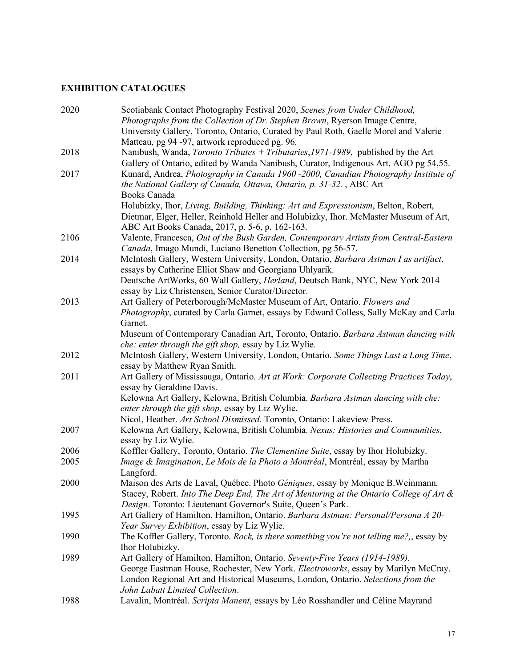# **EXHIBITION CATALOGUES**

| 2020 | Scotiabank Contact Photography Festival 2020, Scenes from Under Childhood,                                    |
|------|---------------------------------------------------------------------------------------------------------------|
|      | Photographs from the Collection of Dr. Stephen Brown, Ryerson Image Centre,                                   |
|      | University Gallery, Toronto, Ontario, Curated by Paul Roth, Gaelle Morel and Valerie                          |
| 2018 | Matteau, pg 94 -97, artwork reproduced pg. 96.                                                                |
|      | Nanibush, Wanda, Toronto Tributes + Tributaries, 1971-1989, published by the Art                              |
|      | Gallery of Ontario, edited by Wanda Nanibush, Curator, Indigenous Art, AGO pg 54,55.                          |
| 2017 | Kunard, Andrea, Photography in Canada 1960 -2000, Canadian Photography Institute of                           |
|      | the National Gallery of Canada, Ottawa, Ontario, p. 31-32., ABC Art                                           |
|      | Books Canada                                                                                                  |
|      | Holubizky, Ihor, Living, Building, Thinking: Art and Expressionism, Belton, Robert,                           |
|      | Dietmar, Elger, Heller, Reinhold Heller and Holubizky, Ihor. McMaster Museum of Art,                          |
|      | ABC Art Books Canada, 2017, p. 5-6, p. 162-163.                                                               |
| 2106 | Valente, Francesca, Out of the Bush Garden, Contemporary Artists from Central-Eastern                         |
|      | Canada, Imago Mundi, Luciano Benetton Collection, pg 56-57.                                                   |
| 2014 | McIntosh Gallery, Western University, London, Ontario, Barbara Astman I as artifact,                          |
|      | essays by Catherine Elliot Shaw and Georgiana Uhlyarik.                                                       |
|      | Deutsche ArtWorks, 60 Wall Gallery, Herland, Deutsch Bank, NYC, New York 2014                                 |
|      | essay by Liz Christensen, Senior Curator/Director.                                                            |
| 2013 | Art Gallery of Peterborough/McMaster Museum of Art, Ontario. Flowers and                                      |
|      | Photography, curated by Carla Garnet, essays by Edward Colless, Sally McKay and Carla                         |
|      | Garnet.                                                                                                       |
|      | Museum of Contemporary Canadian Art, Toronto, Ontario. Barbara Astman dancing with                            |
|      | che: enter through the gift shop, essay by Liz Wylie.                                                         |
| 2012 | McIntosh Gallery, Western University, London, Ontario. Some Things Last a Long Time,                          |
|      | essay by Matthew Ryan Smith.                                                                                  |
| 2011 | Art Gallery of Mississauga, Ontario. Art at Work: Corporate Collecting Practices Today,                       |
|      | essay by Geraldine Davis.<br>Kelowna Art Gallery, Kelowna, British Columbia. Barbara Astman dancing with che: |
|      | enter through the gift shop, essay by Liz Wylie.                                                              |
|      | Nicol, Heather. Art School Dismissed. Toronto, Ontario: Lakeview Press.                                       |
| 2007 | Kelowna Art Gallery, Kelowna, British Columbia. Nexus: Histories and Communities,                             |
|      | essay by Liz Wylie.                                                                                           |
| 2006 | Koffler Gallery, Toronto, Ontario. The Clementine Suite, essay by Ihor Holubizky.                             |
| 2005 | Image & Imagination, Le Mois de la Photo a Montréal, Montréal, essay by Martha                                |
|      | Langford.                                                                                                     |
| 2000 | Maison des Arts de Laval, Québec. Photo Géniques, essay by Monique B. Weinmann.                               |
|      | Stacey, Robert. Into The Deep End, The Art of Mentoring at the Ontario College of Art &                       |
|      | Design. Toronto: Lieutenant Governor's Suite, Queen's Park.                                                   |
| 1995 | Art Gallery of Hamilton, Hamilton, Ontario. Barbara Astman: Personal/Persona A 20-                            |
|      | Year Survey Exhibition, essay by Liz Wylie.                                                                   |
| 1990 | The Koffler Gallery, Toronto. Rock, is there something you're not telling me?, essay by                       |
|      | Ihor Holubizky.                                                                                               |
| 1989 | Art Gallery of Hamilton, Hamilton, Ontario. Seventy-Five Years (1914-1989).                                   |
|      | George Eastman House, Rochester, New York. Electroworks, essay by Marilyn McCray.                             |
|      | London Regional Art and Historical Museums, London, Ontario. Selections from the                              |
|      | John Labatt Limited Collection.                                                                               |
| 1988 | Lavalin, Montréal. Scripta Manent, essays by Léo Rosshandler and Céline Mayrand                               |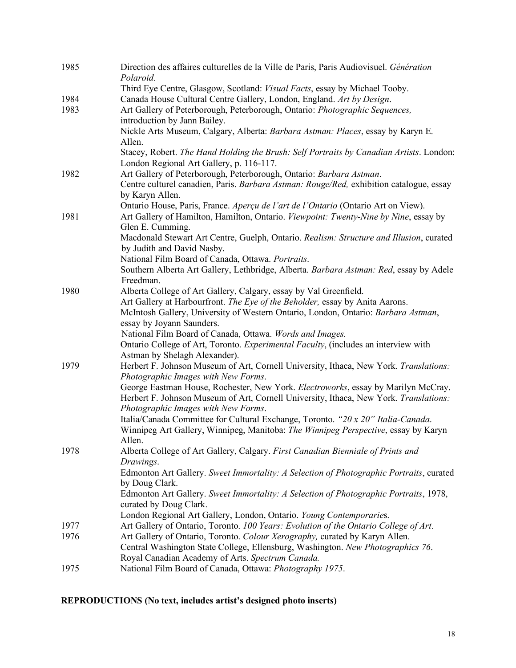| 1985 | Direction des affaires culturelles de la Ville de Paris, Paris Audiovisuel. Génération<br>Polaroid.                                                                        |
|------|----------------------------------------------------------------------------------------------------------------------------------------------------------------------------|
|      | Third Eye Centre, Glasgow, Scotland: Visual Facts, essay by Michael Tooby.                                                                                                 |
| 1984 | Canada House Cultural Centre Gallery, London, England. Art by Design.                                                                                                      |
| 1983 | Art Gallery of Peterborough, Peterborough, Ontario: Photographic Sequences,<br>introduction by Jann Bailey.                                                                |
|      | Nickle Arts Museum, Calgary, Alberta: Barbara Astman: Places, essay by Karyn E.<br>Allen.                                                                                  |
|      | Stacey, Robert. The Hand Holding the Brush: Self Portraits by Canadian Artists. London:<br>London Regional Art Gallery, p. 116-117.                                        |
| 1982 | Art Gallery of Peterborough, Peterborough, Ontario: Barbara Astman.<br>Centre culturel canadien, Paris. Barbara Astman: Rouge/Red, exhibition catalogue, essay             |
|      | by Karyn Allen.                                                                                                                                                            |
|      | Ontario House, Paris, France. Aperçu de l'art de l'Ontario (Ontario Art on View).                                                                                          |
| 1981 | Art Gallery of Hamilton, Hamilton, Ontario. Viewpoint: Twenty-Nine by Nine, essay by<br>Glen E. Cumming.                                                                   |
|      | Macdonald Stewart Art Centre, Guelph, Ontario. Realism: Structure and Illusion, curated<br>by Judith and David Nasby.                                                      |
|      | National Film Board of Canada, Ottawa. Portraits.                                                                                                                          |
|      | Southern Alberta Art Gallery, Lethbridge, Alberta. Barbara Astman: Red, essay by Adele<br>Freedman.                                                                        |
| 1980 | Alberta College of Art Gallery, Calgary, essay by Val Greenfield.                                                                                                          |
|      | Art Gallery at Harbourfront. The Eye of the Beholder, essay by Anita Aarons.                                                                                               |
|      | McIntosh Gallery, University of Western Ontario, London, Ontario: Barbara Astman,<br>essay by Joyann Saunders.                                                             |
|      | National Film Board of Canada, Ottawa. Words and Images.                                                                                                                   |
|      | Ontario College of Art, Toronto. Experimental Faculty, (includes an interview with                                                                                         |
|      | Astman by Shelagh Alexander).                                                                                                                                              |
| 1979 | Herbert F. Johnson Museum of Art, Cornell University, Ithaca, New York. Translations:<br>Photographic Images with New Forms.                                               |
|      | George Eastman House, Rochester, New York. Electroworks, essay by Marilyn McCray.<br>Herbert F. Johnson Museum of Art, Cornell University, Ithaca, New York. Translations: |
|      | Photographic Images with New Forms.                                                                                                                                        |
|      | Italia/Canada Committee for Cultural Exchange, Toronto. "20 x 20" Italia-Canada.<br>Winnipeg Art Gallery, Winnipeg, Manitoba: The Winnipeg Perspective, essay by Karyn     |
| 1978 | Allen.<br>Alberta College of Art Gallery, Calgary. First Canadian Bienniale of Prints and                                                                                  |
|      | Drawings.<br>Edmonton Art Gallery. Sweet Immortality: A Selection of Photographic Portraits, curated                                                                       |
|      | by Doug Clark.                                                                                                                                                             |
|      | Edmonton Art Gallery. Sweet Immortality: A Selection of Photographic Portraits, 1978,<br>curated by Doug Clark.                                                            |
|      | London Regional Art Gallery, London, Ontario. Young Contemporaries.                                                                                                        |
| 1977 | Art Gallery of Ontario, Toronto. 100 Years: Evolution of the Ontario College of Art.                                                                                       |
| 1976 | Art Gallery of Ontario, Toronto. Colour Xerography, curated by Karyn Allen.                                                                                                |
|      | Central Washington State College, Ellensburg, Washington. New Photographics 76.                                                                                            |
|      | Royal Canadian Academy of Arts. Spectrum Canada.                                                                                                                           |
| 1975 | National Film Board of Canada, Ottawa: Photography 1975.                                                                                                                   |

# **REPRODUCTIONS (No text, includes artist's designed photo inserts)**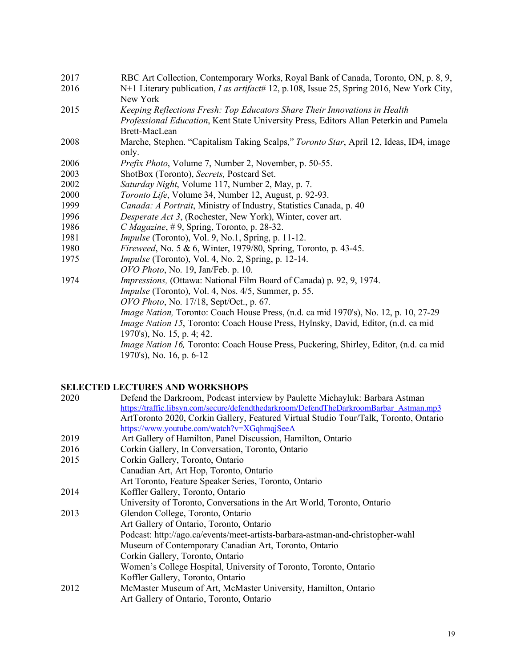- 2017 RBC Art Collection, Contemporary Works, Royal Bank of Canada, Toronto, ON, p. 8, 9,
- 2016 N+1 Literary publication, *I as artifact*# 12, p.108, Issue 25, Spring 2016, New York City, New York
- 2015 *Keeping Reflections Fresh: Top Educators Share Their Innovations in Health Professional Education*, Kent State University Press, Editors Allan Peterkin and Pamela Brett-MacLean
- 2008 Marche, Stephen. "Capitalism Taking Scalps," *Toronto Star*, April 12, Ideas, ID4, image only.
- 2006 *Prefix Photo*, Volume 7, Number 2, November, p. 50-55.
- 2003 ShotBox (Toronto), *Secrets,* Postcard Set.
- 2002 *Saturday Night*, Volume 117, Number 2, May, p. 7.
- 2000 *Toronto Life*, Volume 34, Number 12, August, p. 92-93.
- 1999 *Canada: A Portrait*, Ministry of Industry, Statistics Canada, p. 40
- 1996 *Desperate Act 3*, (Rochester, New York), Winter, cover art.
- 1986 *C Magazine*, # 9, Spring, Toronto, p. 28-32.
- 1981 *Impulse* (Toronto), Vol. 9, No.1, Spring, p. 11-12.
- 1980 *Fireweed*, No. 5 & 6, Winter, 1979/80, Spring, Toronto, p. 43-45.
- 1975 *Impulse* (Toronto), Vol. 4, No. 2, Spring, p. 12-14.
- *OVO Photo*, No. 19, Jan/Feb. p. 10.
- 1974 *Impressions,* (Ottawa: National Film Board of Canada) p. 92, 9, 1974. *Impulse* (Toronto), Vol. 4, Nos. 4/5, Summer, p. 55. *OVO Photo*, No. 17/18, Sept/Oct., p. 67. *Image Nation,* Toronto: Coach House Press, (n.d. ca mid 1970's), No. 12, p. 10, 27-29 *Image Nation 15*, Toronto: Coach House Press, Hylnsky, David, Editor, (n.d. ca mid 1970's), No. 15, p. 4; 42. *Image Nation 16,* Toronto: Coach House Press, Puckering, Shirley, Editor, (n.d. ca mid 1970's), No. 16, p. 6-12

### **SELECTED LECTURES AND WORKSHOPS**

| 2020 | Defend the Darkroom, Podcast interview by Paulette Michayluk: Barbara Astman           |
|------|----------------------------------------------------------------------------------------|
|      | https://traffic.libsyn.com/secure/defendthedarkroom/DefendTheDarkroomBarbar Astman.mp3 |
|      | ArtToronto 2020, Corkin Gallery, Featured Virtual Studio Tour/Talk, Toronto, Ontario   |
|      | https://www.youtube.com/watch?v=XGqhmqjSeeA                                            |
| 2019 | Art Gallery of Hamilton, Panel Discussion, Hamilton, Ontario                           |
| 2016 | Corkin Gallery, In Conversation, Toronto, Ontario                                      |
| 2015 | Corkin Gallery, Toronto, Ontario                                                       |
|      | Canadian Art, Art Hop, Toronto, Ontario                                                |
|      | Art Toronto, Feature Speaker Series, Toronto, Ontario                                  |
| 2014 | Koffler Gallery, Toronto, Ontario                                                      |
|      | University of Toronto, Conversations in the Art World, Toronto, Ontario                |
| 2013 | Glendon College, Toronto, Ontario                                                      |
|      | Art Gallery of Ontario, Toronto, Ontario                                               |
|      | Podcast: http://ago.ca/events/meet-artists-barbara-astman-and-christopher-wahl         |
|      | Museum of Contemporary Canadian Art, Toronto, Ontario                                  |
|      | Corkin Gallery, Toronto, Ontario                                                       |
|      | Women's College Hospital, University of Toronto, Toronto, Ontario                      |
|      | Koffler Gallery, Toronto, Ontario                                                      |
| 2012 | McMaster Museum of Art, McMaster University, Hamilton, Ontario                         |
|      | Art Gallery of Ontario, Toronto, Ontario                                               |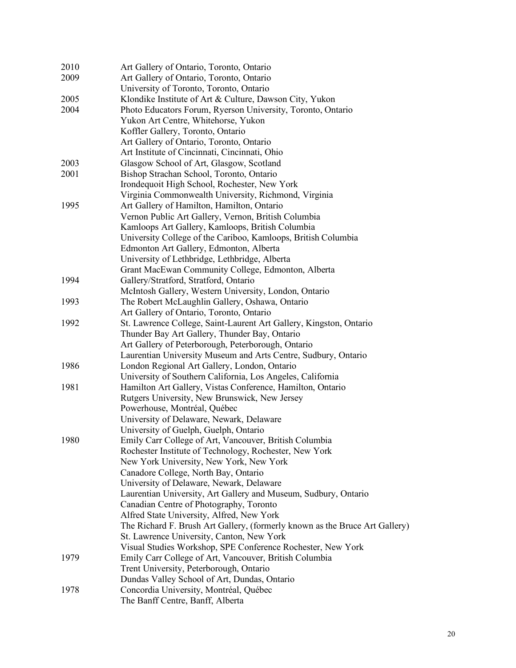| 2010 | Art Gallery of Ontario, Toronto, Ontario                                                                    |
|------|-------------------------------------------------------------------------------------------------------------|
| 2009 | Art Gallery of Ontario, Toronto, Ontario                                                                    |
|      | University of Toronto, Toronto, Ontario                                                                     |
| 2005 | Klondike Institute of Art & Culture, Dawson City, Yukon                                                     |
| 2004 | Photo Educators Forum, Ryerson University, Toronto, Ontario                                                 |
|      | Yukon Art Centre, Whitehorse, Yukon                                                                         |
|      | Koffler Gallery, Toronto, Ontario                                                                           |
|      | Art Gallery of Ontario, Toronto, Ontario                                                                    |
|      | Art Institute of Cincinnati, Cincinnati, Ohio                                                               |
| 2003 | Glasgow School of Art, Glasgow, Scotland                                                                    |
| 2001 | Bishop Strachan School, Toronto, Ontario                                                                    |
|      | Irondequoit High School, Rochester, New York                                                                |
|      | Virginia Commonwealth University, Richmond, Virginia                                                        |
| 1995 | Art Gallery of Hamilton, Hamilton, Ontario                                                                  |
|      | Vernon Public Art Gallery, Vernon, British Columbia                                                         |
|      | Kamloops Art Gallery, Kamloops, British Columbia                                                            |
|      | University College of the Cariboo, Kamloops, British Columbia                                               |
|      | Edmonton Art Gallery, Edmonton, Alberta                                                                     |
|      |                                                                                                             |
|      | University of Lethbridge, Lethbridge, Alberta                                                               |
| 1994 | Grant MacEwan Community College, Edmonton, Alberta                                                          |
|      | Gallery/Stratford, Stratford, Ontario                                                                       |
|      | McIntosh Gallery, Western University, London, Ontario                                                       |
| 1993 | The Robert McLaughlin Gallery, Oshawa, Ontario                                                              |
|      | Art Gallery of Ontario, Toronto, Ontario                                                                    |
| 1992 | St. Lawrence College, Saint-Laurent Art Gallery, Kingston, Ontario                                          |
|      | Thunder Bay Art Gallery, Thunder Bay, Ontario                                                               |
|      | Art Gallery of Peterborough, Peterborough, Ontario                                                          |
|      | Laurentian University Museum and Arts Centre, Sudbury, Ontario                                              |
| 1986 | London Regional Art Gallery, London, Ontario                                                                |
|      | University of Southern California, Los Angeles, California                                                  |
| 1981 | Hamilton Art Gallery, Vistas Conference, Hamilton, Ontario<br>Rutgers University, New Brunswick, New Jersey |
|      |                                                                                                             |
|      | Powerhouse, Montréal, Québec                                                                                |
|      | University of Delaware, Newark, Delaware                                                                    |
| 1980 | University of Guelph, Guelph, Ontario                                                                       |
|      | Emily Carr College of Art, Vancouver, British Columbia                                                      |
|      | Rochester Institute of Technology, Rochester, New York                                                      |
|      | New York University, New York, New York                                                                     |
|      | Canadore College, North Bay, Ontario                                                                        |
|      | University of Delaware, Newark, Delaware                                                                    |
|      | Laurentian University, Art Gallery and Museum, Sudbury, Ontario                                             |
|      | Canadian Centre of Photography, Toronto                                                                     |
|      | Alfred State University, Alfred, New York                                                                   |
|      | The Richard F. Brush Art Gallery, (formerly known as the Bruce Art Gallery)                                 |
|      | St. Lawrence University, Canton, New York                                                                   |
|      | Visual Studies Workshop, SPE Conference Rochester, New York                                                 |
| 1979 | Emily Carr College of Art, Vancouver, British Columbia                                                      |
|      | Trent University, Peterborough, Ontario                                                                     |
|      | Dundas Valley School of Art, Dundas, Ontario                                                                |
| 1978 | Concordia University, Montréal, Québec                                                                      |
|      | The Banff Centre, Banff, Alberta                                                                            |